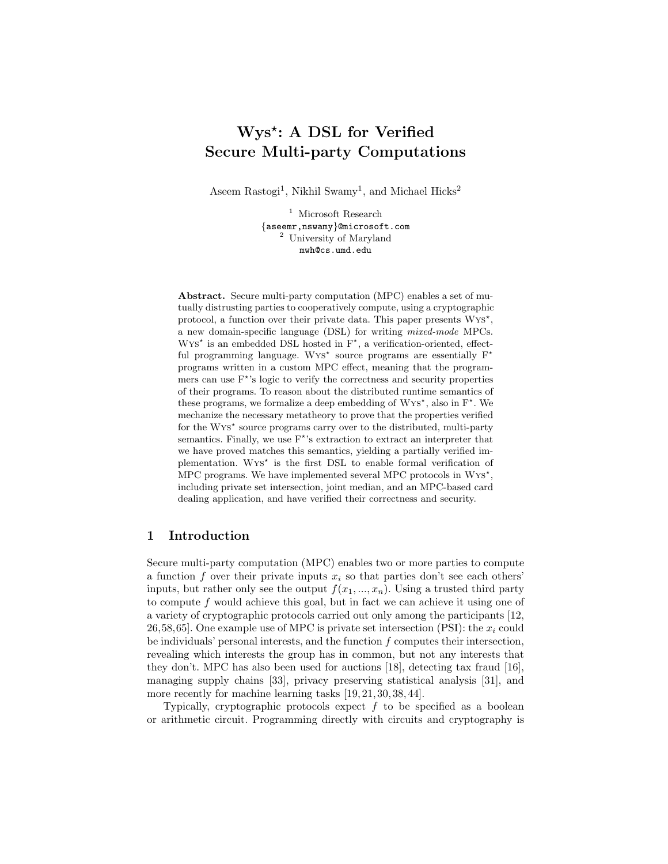# Wys? : A DSL for Verified Secure Multi-party Computations

Aseem Rastogi<sup>1</sup>, Nikhil Swamy<sup>1</sup>, and Michael Hicks<sup>2</sup>

<sup>1</sup> Microsoft Research {aseemr,nswamy}@microsoft.com <sup>2</sup> University of Maryland mwh@cs.umd.edu

Abstract. Secure multi-party computation (MPC) enables a set of mutually distrusting parties to cooperatively compute, using a cryptographic protocol, a function over their private data. This paper presents  $Wys^*$ , a new domain-specific language (DSL) for writing mixed-mode MPCs.  $Wys^*$  is an embedded DSL hosted in  $F^*$ , a verification-oriented, effectful programming language.  $Wys^*$  source programs are essentially  $F^*$ programs written in a custom MPC effect, meaning that the programmers can use  $F^*$ 's logic to verify the correctness and security properties of their programs. To reason about the distributed runtime semantics of these programs, we formalize a deep embedding of  $Wys^*$ , also in  $F^*$ . We mechanize the necessary metatheory to prove that the properties verified for the WYS<sup>\*</sup> source programs carry over to the distributed, multi-party semantics. Finally, we use  $F^*$ 's extraction to extract an interpreter that we have proved matches this semantics, yielding a partially verified implementation. Wys? is the first DSL to enable formal verification of MPC programs. We have implemented several MPC protocols in  $Wys^*$ , including private set intersection, joint median, and an MPC-based card dealing application, and have verified their correctness and security.

# 1 Introduction

Secure multi-party computation (MPC) enables two or more parties to compute a function f over their private inputs  $x_i$  so that parties don't see each others' inputs, but rather only see the output  $f(x_1, ..., x_n)$ . Using a trusted third party to compute f would achieve this goal, but in fact we can achieve it using one of a variety of cryptographic protocols carried out only among the participants [12, 26,58,65]. One example use of MPC is private set intersection (PSI): the  $x_i$  could be individuals' personal interests, and the function  $f$  computes their intersection, revealing which interests the group has in common, but not any interests that they don't. MPC has also been used for auctions [18], detecting tax fraud [16], managing supply chains [33], privacy preserving statistical analysis [31], and more recently for machine learning tasks [19, 21, 30, 38, 44].

Typically, cryptographic protocols expect  $f$  to be specified as a boolean or arithmetic circuit. Programming directly with circuits and cryptography is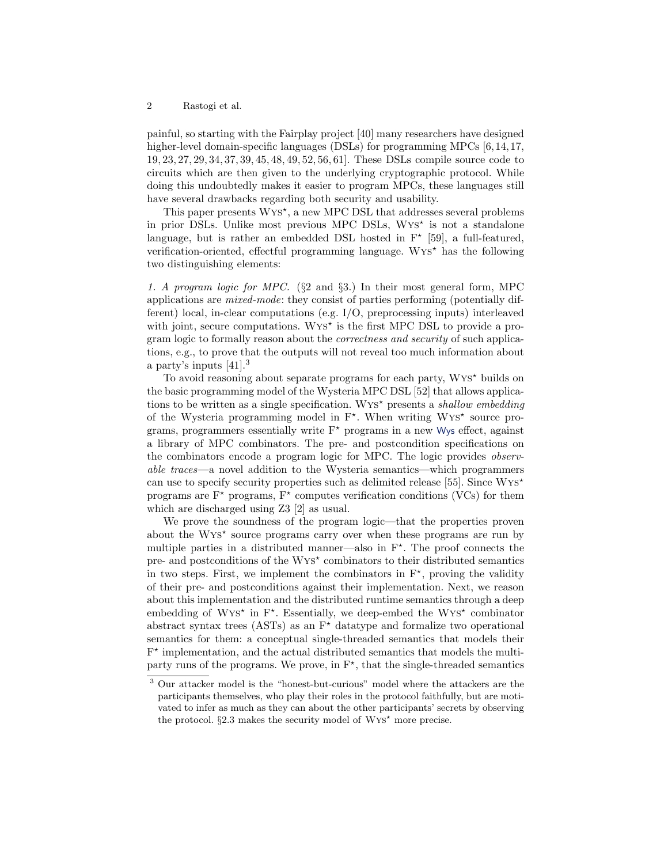painful, so starting with the Fairplay project [40] many researchers have designed higher-level domain-specific languages (DSLs) for programming MPCs [6, 14, 17, 19, 23, 27, 29, 34, 37, 39, 45, 48, 49, 52, 56, 61]. These DSLs compile source code to circuits which are then given to the underlying cryptographic protocol. While doing this undoubtedly makes it easier to program MPCs, these languages still have several drawbacks regarding both security and usability.

This paper presents  $WYS^*$ , a new MPC DSL that addresses several problems in prior DSLs. Unlike most previous MPC DSLs, Wys? is not a standalone language, but is rather an embedded DSL hosted in  $F^*$  [59], a full-featured, verification-oriented, effectful programming language. Wys? has the following two distinguishing elements:

1. A program logic for MPC. ( $\S$ 2 and  $\S$ 3.) In their most general form, MPC applications are mixed-mode: they consist of parties performing (potentially different) local, in-clear computations (e.g. I/O, preprocessing inputs) interleaved with joint, secure computations. Wys<sup>\*</sup> is the first MPC DSL to provide a program logic to formally reason about the correctness and security of such applications, e.g., to prove that the outputs will not reveal too much information about a party's inputs [41].<sup>3</sup>

To avoid reasoning about separate programs for each party,  $Wys^*$  builds on the basic programming model of the Wysteria MPC DSL [52] that allows applications to be written as a single specification. Wys<sup>\*</sup> presents a *shallow embedding* of the Wysteria programming model in  $F^*$ . When writing Wys<sup>\*</sup> source programs, programmers essentially write  $F^*$  programs in a new Wys effect, against a library of MPC combinators. The pre- and postcondition specifications on the combinators encode a program logic for MPC. The logic provides observable traces—a novel addition to the Wysteria semantics—which programmers can use to specify security properties such as delimited release [55]. Since Wys? programs are  $F^*$  programs,  $F^*$  computes verification conditions (VCs) for them which are discharged using Z3 [2] as usual.

We prove the soundness of the program logic—that the properties proven about the Wys<sup>\*</sup> source programs carry over when these programs are run by multiple parties in a distributed manner—also in  $F^*$ . The proof connects the pre- and postconditions of the Wys<sup>\*</sup> combinators to their distributed semantics in two steps. First, we implement the combinators in  $F^*$ , proving the validity of their pre- and postconditions against their implementation. Next, we reason about this implementation and the distributed runtime semantics through a deep embedding of Wys<sup>\*</sup> in  $F^*$ . Essentially, we deep-embed the Wys<sup>\*</sup> combinator abstract syntax trees (ASTs) as an  $F^*$  datatype and formalize two operational semantics for them: a conceptual single-threaded semantics that models their  $F^*$  implementation, and the actual distributed semantics that models the multiparty runs of the programs. We prove, in  $F^*$ , that the single-threaded semantics

<sup>3</sup> Our attacker model is the "honest-but-curious" model where the attackers are the participants themselves, who play their roles in the protocol faithfully, but are motivated to infer as much as they can about the other participants' secrets by observing the protocol.  $\S 2.3$  makes the security model of Wys<sup>\*</sup> more precise.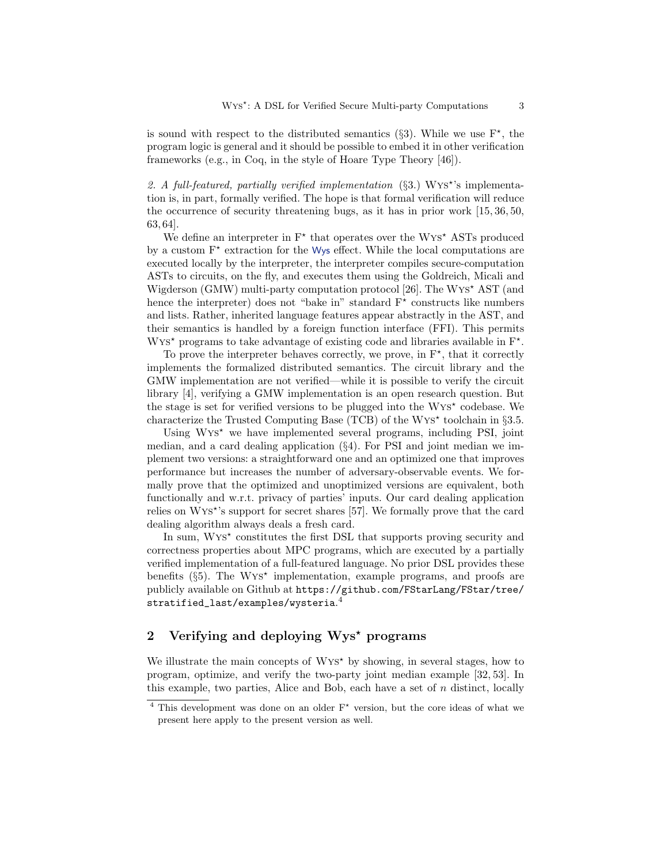is sound with respect to the distributed semantics  $(\S 3)$ . While we use  $F^*$ , the program logic is general and it should be possible to embed it in other verification frameworks (e.g., in Coq, in the style of Hoare Type Theory [46]).

2. A full-featured, partially verified implementation  $(\S3.)$  WYS\*'s implementation is, in part, formally verified. The hope is that formal verification will reduce the occurrence of security threatening bugs, as it has in prior work [15, 36, 50, 63, 64].

We define an interpreter in  $F^*$  that operates over the Wys<sup>\*</sup> ASTs produced by a custom  $F^*$  extraction for the Wys effect. While the local computations are executed locally by the interpreter, the interpreter compiles secure-computation ASTs to circuits, on the fly, and executes them using the Goldreich, Micali and Wigderson (GMW) multi-party computation protocol [26]. The Wys? AST (and hence the interpreter) does not "bake in" standard  $F^*$  constructs like numbers and lists. Rather, inherited language features appear abstractly in the AST, and their semantics is handled by a foreign function interface (FFI). This permits  $WYS^*$  programs to take advantage of existing code and libraries available in  $F^*$ .

To prove the interpreter behaves correctly, we prove, in  $F^*$ , that it correctly implements the formalized distributed semantics. The circuit library and the GMW implementation are not verified—while it is possible to verify the circuit library [4], verifying a GMW implementation is an open research question. But the stage is set for verified versions to be plugged into the  $WYS^*$  codebase. We characterize the Trusted Computing Base  $(TCB)$  of the Wys<sup>\*</sup> toolchain in §3.5.

Using  $WYS^*$  we have implemented several programs, including PSI, joint median, and a card dealing application  $(\S4)$ . For PSI and joint median we implement two versions: a straightforward one and an optimized one that improves performance but increases the number of adversary-observable events. We formally prove that the optimized and unoptimized versions are equivalent, both functionally and w.r.t. privacy of parties' inputs. Our card dealing application relies on Wys<sup>\*</sup>'s support for secret shares [57]. We formally prove that the card dealing algorithm always deals a fresh card.

In sum,  $Wys^*$  constitutes the first DSL that supports proving security and correctness properties about MPC programs, which are executed by a partially verified implementation of a full-featured language. No prior DSL provides these benefits  $(\S 5)$ . The Wys<sup>\*</sup> implementation, example programs, and proofs are publicly available on Github at https://github.com/FStarLang/FStar/tree/  $\texttt{stratified\_last}/\texttt{examples}/\texttt{wysteria}.^4$ 

# 2 Verifying and deploying  $Wys^*$  programs

We illustrate the main concepts of  $WYS^*$  by showing, in several stages, how to program, optimize, and verify the two-party joint median example [32, 53]. In this example, two parties, Alice and Bob, each have a set of  $n$  distinct, locally

<sup>&</sup>lt;sup>4</sup> This development was done on an older  $F^*$  version, but the core ideas of what we present here apply to the present version as well.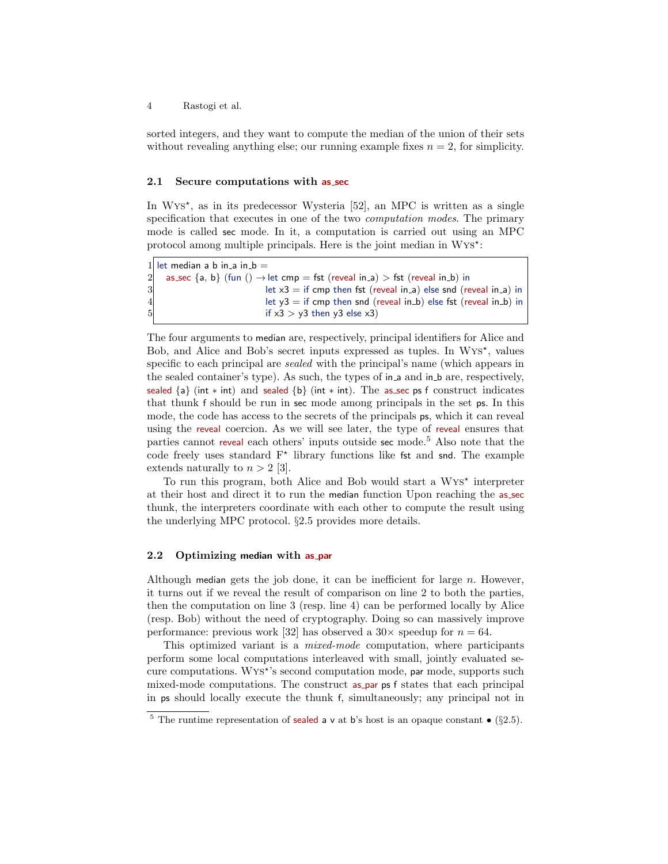sorted integers, and they want to compute the median of the union of their sets without revealing anything else; our running example fixes  $n = 2$ , for simplicity.

#### 2.1 Secure computations with as sec

In Wys<sup>\*</sup>, as in its predecessor Wysteria [52], an MPC is written as a single specification that executes in one of the two *computation modes*. The primary mode is called sec mode. In it, a computation is carried out using an MPC protocol among multiple principals. Here is the joint median in  $Wys^*$ :

```
1 let median a b in a in b =2 as sec {a, b} (fun () \rightarrow let cmp = fst (reveal in a) > fst (reveal in b) in let x3 = if cmp then fst (reveal in a) else snd (re
                                   let x3 = if cmp then fst (reveal in a) else snd (reveal in a) in
4 let y3 = if cmp then snd (reveal in b) else fst (reveal in b) in<br>if x3 > y3 then y3 else x3)
                                   if x3 > y3 then y3 else x3)
```
The four arguments to median are, respectively, principal identifiers for Alice and Bob, and Alice and Bob's secret inputs expressed as tuples. In Wys<sup>\*</sup>, values specific to each principal are *sealed* with the principal's name (which appears in the sealed container's type). As such, the types of in a and in b are, respectively, sealed  ${a}$  (int \* int) and sealed  ${b}$  (int \* int). The as sec ps f construct indicates that thunk f should be run in sec mode among principals in the set ps. In this mode, the code has access to the secrets of the principals ps, which it can reveal using the reveal coercion. As we will see later, the type of reveal ensures that parties cannot reveal each others' inputs outside sec mode.<sup>5</sup> Also note that the code freely uses standard  $F^*$  library functions like fst and snd. The example extends naturally to  $n > 2$  [3].

To run this program, both Alice and Bob would start a Wys<sup>\*</sup> interpreter at their host and direct it to run the median function Upon reaching the as sec thunk, the interpreters coordinate with each other to compute the result using the underlying MPC protocol. §2.5 provides more details.

#### 2.2 Optimizing median with as par

Although median gets the job done, it can be inefficient for large  $n$ . However, it turns out if we reveal the result of comparison on line 2 to both the parties, then the computation on line 3 (resp. line 4) can be performed locally by Alice (resp. Bob) without the need of cryptography. Doing so can massively improve performance: previous work [32] has observed a  $30\times$  speedup for  $n = 64$ .

This optimized variant is a mixed-mode computation, where participants perform some local computations interleaved with small, jointly evaluated secure computations. Wys<sup>\*</sup>'s second computation mode, par mode, supports such mixed-mode computations. The construct as par ps f states that each principal in ps should locally execute the thunk f, simultaneously; any principal not in

<sup>&</sup>lt;sup>5</sup> The runtime representation of **sealed a** v at b's host is an opaque constant  $\bullet$  (§2.5).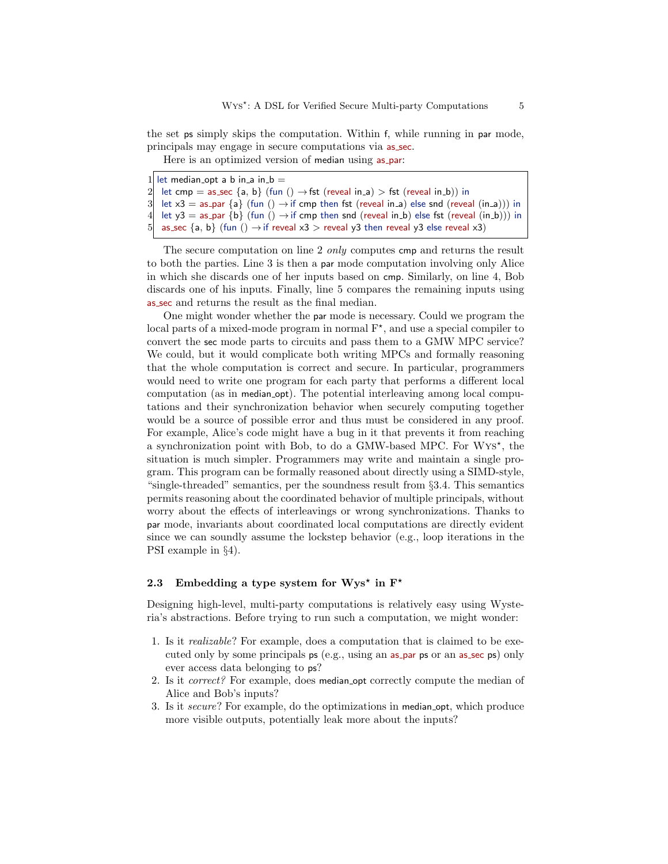the set ps simply skips the computation. Within f, while running in par mode, principals may engage in secure computations via as sec.

Here is an optimized version of median using as par:

1 let median opt a b in a in  $_b = 2$  let cmp = as sec {a, b} (fun let cmp = as\_sec {a, b} (fun ()  $\rightarrow$  fst (reveal in\_a) > fst (reveal in\_b)) in 3 let  $x3 =$  as\_par {a} (fun ()  $\rightarrow$  if cmp then fst (reveal in\_a) else snd (reveal (in\_a))) in 4 let y3 = as\_par {b} (fun ()  $\rightarrow$  if cmp then snd (reveal in b) else fst (reveal (in b))) in 5 as sec {a, b} (fun ()  $\rightarrow$  if reveal x3 > reveal y3 then reveal y3 else reveal x3)

The secure computation on line 2 *only* computes cmp and returns the result to both the parties. Line 3 is then a par mode computation involving only Alice in which she discards one of her inputs based on cmp. Similarly, on line 4, Bob discards one of his inputs. Finally, line 5 compares the remaining inputs using as sec and returns the result as the final median.

One might wonder whether the par mode is necessary. Could we program the local parts of a mixed-mode program in normal  $F^*$ , and use a special compiler to convert the sec mode parts to circuits and pass them to a GMW MPC service? We could, but it would complicate both writing MPCs and formally reasoning that the whole computation is correct and secure. In particular, programmers would need to write one program for each party that performs a different local computation (as in median opt). The potential interleaving among local computations and their synchronization behavior when securely computing together would be a source of possible error and thus must be considered in any proof. For example, Alice's code might have a bug in it that prevents it from reaching a synchronization point with Bob, to do a GMW-based MPC. For Wys<sup>\*</sup>, the situation is much simpler. Programmers may write and maintain a single program. This program can be formally reasoned about directly using a SIMD-style, "single-threaded" semantics, per the soundness result from §3.4. This semantics permits reasoning about the coordinated behavior of multiple principals, without worry about the effects of interleavings or wrong synchronizations. Thanks to par mode, invariants about coordinated local computations are directly evident since we can soundly assume the lockstep behavior (e.g., loop iterations in the PSI example in §4).

# 2.3 Embedding a type system for Wys<sup>\*</sup> in  $F^*$

Designing high-level, multi-party computations is relatively easy using Wysteria's abstractions. Before trying to run such a computation, we might wonder:

- 1. Is it realizable? For example, does a computation that is claimed to be executed only by some principals ps (e.g., using an as par ps or an as sec ps) only ever access data belonging to ps?
- 2. Is it correct? For example, does median opt correctly compute the median of Alice and Bob's inputs?
- 3. Is it secure? For example, do the optimizations in median opt, which produce more visible outputs, potentially leak more about the inputs?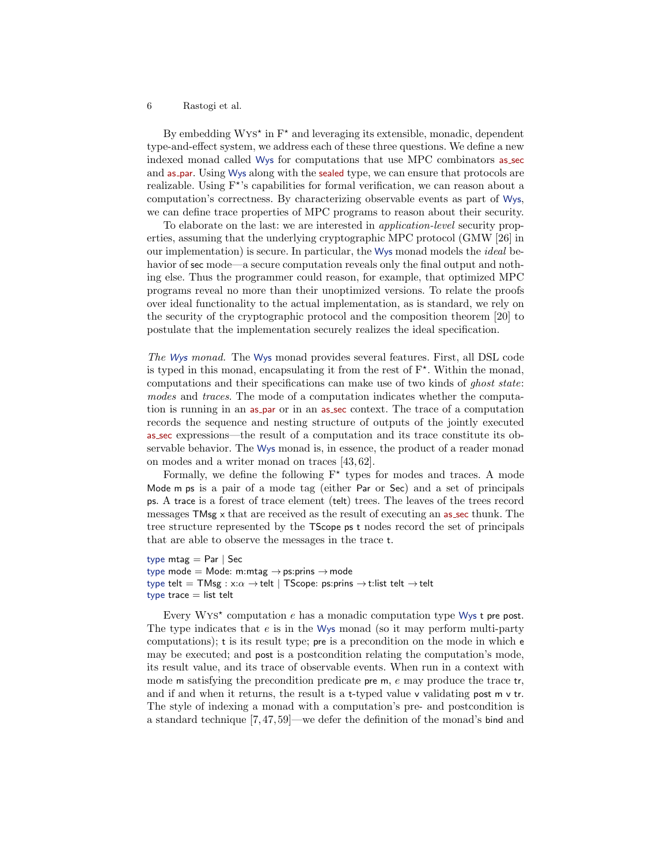By embedding  $WYS^*$  in  $F^*$  and leveraging its extensible, monadic, dependent type-and-effect system, we address each of these three questions. We define a new indexed monad called Wys for computations that use MPC combinators as sec and as par. Using Wys along with the sealed type, we can ensure that protocols are realizable. Using  $F^*$ 's capabilities for formal verification, we can reason about a computation's correctness. By characterizing observable events as part of Wys, we can define trace properties of MPC programs to reason about their security.

To elaborate on the last: we are interested in application-level security properties, assuming that the underlying cryptographic MPC protocol (GMW [26] in our implementation) is secure. In particular, the Wys monad models the ideal behavior of sec mode—a secure computation reveals only the final output and nothing else. Thus the programmer could reason, for example, that optimized MPC programs reveal no more than their unoptimized versions. To relate the proofs over ideal functionality to the actual implementation, as is standard, we rely on the security of the cryptographic protocol and the composition theorem [20] to postulate that the implementation securely realizes the ideal specification.

The Wys monad. The Wys monad provides several features. First, all DSL code is typed in this monad, encapsulating it from the rest of  $F^*$ . Within the monad, computations and their specifications can make use of two kinds of ghost state: modes and traces. The mode of a computation indicates whether the computation is running in an as-par or in an as-sec context. The trace of a computation records the sequence and nesting structure of outputs of the jointly executed as sec expressions—the result of a computation and its trace constitute its observable behavior. The Wys monad is, in essence, the product of a reader monad on modes and a writer monad on traces [43, 62].

Formally, we define the following  $F^*$  types for modes and traces. A mode Mode m ps is a pair of a mode tag (either Par or Sec) and a set of principals ps. A trace is a forest of trace element (telt) trees. The leaves of the trees record messages  $TMsg \times that$  are received as the result of executing an as sec thunk. The tree structure represented by the TScope ps t nodes record the set of principals that are able to observe the messages in the trace t.

type mtag  $=$  Par | Sec type mode = Mode: m:mtag  $\rightarrow$  ps:prins  $\rightarrow$  mode type telt = TMsg :  $x:\alpha \to \text{telt}$  | TScope: ps:prins  $\to \text{t:list}$  telt  $\to \text{telt}$ type trace  $=$  list telt

Every  $WYS^*$  computation  $e$  has a monadic computation type Wys t pre post. The type indicates that  $e$  is in the Wys monad (so it may perform multi-party computations); t is its result type; pre is a precondition on the mode in which e may be executed; and post is a postcondition relating the computation's mode, its result value, and its trace of observable events. When run in a context with mode m satisfying the precondition predicate pre m,  $e$  may produce the trace tr, and if and when it returns, the result is a t-typed value v validating post m v tr. The style of indexing a monad with a computation's pre- and postcondition is a standard technique [7, 47, 59]—we defer the definition of the monad's bind and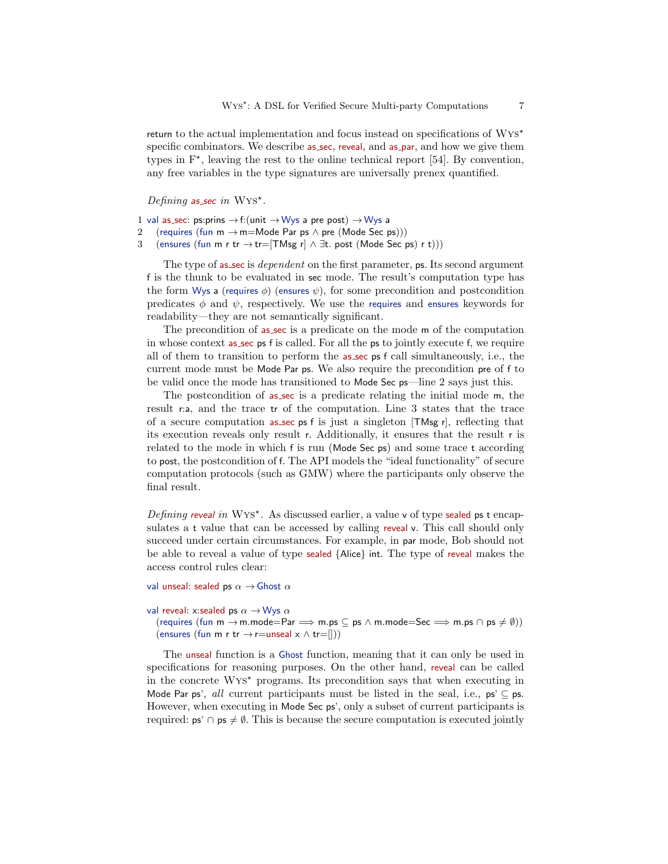return to the actual implementation and focus instead on specifications of Wys? specific combinators. We describe as sec, reveal, and as par, and how we give them types in  $F^*$ , leaving the rest to the online technical report [54]. By convention, any free variables in the type signatures are universally prenex quantified.

Defining as sec in  $WYS^*$ .

- 1 val as\_sec: ps:prins  $\rightarrow$  f: (unit  $\rightarrow$  Wys a pre post)  $\rightarrow$  Wys a
- 2 (requires (fun m  $\rightarrow$  m=Mode Par ps  $\land$  pre (Mode Sec ps)))
- 3 (ensures (fun m r tr  $\rightarrow$  tr=[TMsg r]  $\land$   $\exists$ t. post (Mode Sec ps) r t)))

The type of as sec is *dependent* on the first parameter, ps. Its second argument f is the thunk to be evaluated in sec mode. The result's computation type has the form Wys a (requires  $\phi$ ) (ensures  $\psi$ ), for some precondition and postcondition predicates  $\phi$  and  $\psi$ , respectively. We use the requires and ensures keywords for readability—they are not semantically significant.

The precondition of as sec is a predicate on the mode m of the computation in whose context as sec ps f is called. For all the ps to jointly execute f, we require all of them to transition to perform the as sec ps f call simultaneously, i.e., the current mode must be Mode Par ps. We also require the precondition pre of f to be valid once the mode has transitioned to Mode Sec ps—line 2 says just this.

The postcondition of as sec is a predicate relating the initial mode m, the result r:a, and the trace tr of the computation. Line 3 states that the trace of a secure computation as sec ps f is just a singleton  $\text{TMsg } r$ , reflecting that its execution reveals only result r. Additionally, it ensures that the result r is related to the mode in which f is run (Mode Sec ps) and some trace t according to post, the postcondition of f. The API models the "ideal functionality" of secure computation protocols (such as GMW) where the participants only observe the final result.

Defining reveal in WYS\*. As discussed earlier, a value v of type sealed ps t encapsulates a t value that can be accessed by calling reveal v. This call should only succeed under certain circumstances. For example, in par mode, Bob should not be able to reveal a value of type sealed {Alice} int. The type of reveal makes the access control rules clear:

val unseal: sealed ps  $\alpha \rightarrow$  Ghost  $\alpha$ 

val reveal: x:sealed ps  $\alpha \rightarrow W$ ys  $\alpha$ 

 $(\text{requires (fun } m \rightarrow m.\text{mode}=Par \Longrightarrow m.ps \subseteq ps \land m.\text{mode}=Sec \Longrightarrow m.ps \cap ps \neq \emptyset))$ (ensures (fun m r tr  $\rightarrow$  r=unseal  $x \wedge tr=[|$ ))

The unseal function is a Ghost function, meaning that it can only be used in specifications for reasoning purposes. On the other hand, reveal can be called in the concrete  $WYS^*$  programs. Its precondition says that when executing in Mode Par ps', all current participants must be listed in the seal, i.e., ps'  $\subset$  ps. However, when executing in Mode Sec ps', only a subset of current participants is required: ps' ∩ ps  $\neq \emptyset$ . This is because the secure computation is executed jointly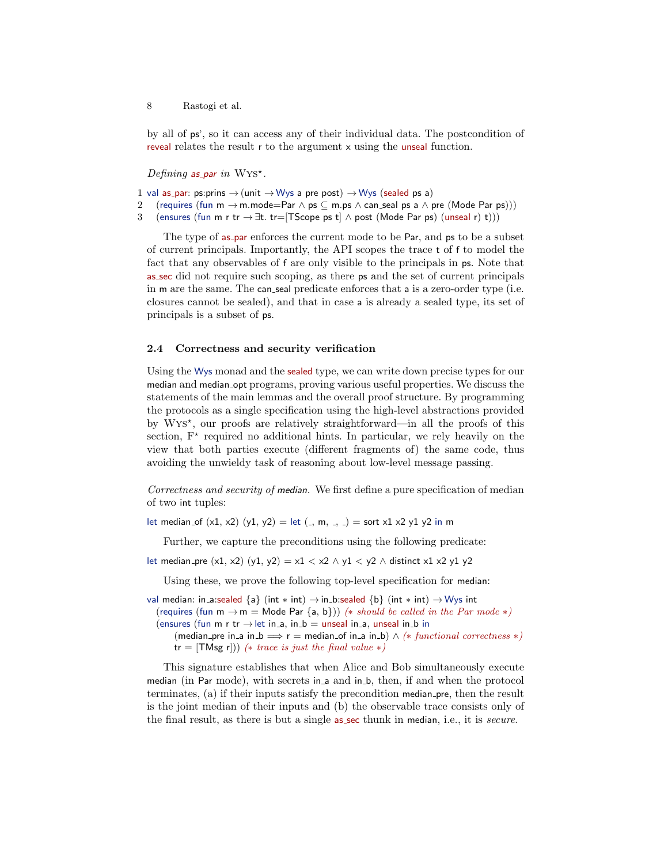by all of ps', so it can access any of their individual data. The postcondition of reveal relates the result r to the argument x using the unseal function.

Defining as par in  $WYS^*$ .

1 val as par: ps: prins  $\rightarrow$  (unit  $\rightarrow$  Wys a pre post)  $\rightarrow$  Wys (sealed ps a)

- 2 (requires (fun m  $\rightarrow$  m.mode=Par  $\land$  ps  $\subseteq$  m.ps  $\land$  can\_seal ps a  $\land$  pre (Mode Par ps)))
- 3 (ensures (fun m r tr  $\rightarrow \exists t$ . tr=[TScope ps t]  $\land$  post (Mode Par ps) (unseal r) t)))

The type of as par enforces the current mode to be Par, and ps to be a subset of current principals. Importantly, the API scopes the trace t of f to model the fact that any observables of f are only visible to the principals in ps. Note that as sec did not require such scoping, as there ps and the set of current principals in m are the same. The can seal predicate enforces that a is a zero-order type (i.e. closures cannot be sealed), and that in case a is already a sealed type, its set of principals is a subset of ps.

### 2.4 Correctness and security verification

Using the Wys monad and the sealed type, we can write down precise types for our median and median opt programs, proving various useful properties. We discuss the statements of the main lemmas and the overall proof structure. By programming the protocols as a single specification using the high-level abstractions provided by Wys? , our proofs are relatively straightforward—in all the proofs of this section,  $F^*$  required no additional hints. In particular, we rely heavily on the view that both parties execute (different fragments of) the same code, thus avoiding the unwieldy task of reasoning about low-level message passing.

Correctness and security of median. We first define a pure specification of median of two int tuples:

let median\_of  $(x1, x2) (y1, y2) =$  let  $($ , m,  $)$  = sort x1 x2 y1 y2 in m

Further, we capture the preconditions using the following predicate:

let median\_pre  $(x1, x2)$   $(y1, y2) = x1 < x2 \land y1 < y2 \land$  distinct x1 x2 y1 y2

Using these, we prove the following top-level specification for median:

val median: in\_a:sealed {a} (int \* int)  $\rightarrow$  in\_b:sealed {b} (int \* int)  $\rightarrow$  Wys int (requires (fun m  $\rightarrow$  m = Mode Par {a, b})) (\* should be called in the Par mode \*) (ensures (fun m r tr  $\rightarrow$  let in a, in b = unseal in a, unseal in b in (median pre in a in b  $\implies$  r = median of in a in b)  $\land$  (\* functional correctness \*)  $tr = [TMsg r])$  (\* trace is just the final value \*)

This signature establishes that when Alice and Bob simultaneously execute median (in Par mode), with secrets in a and in b, then, if and when the protocol terminates, (a) if their inputs satisfy the precondition median pre, then the result is the joint median of their inputs and (b) the observable trace consists only of the final result, as there is but a single as sec thunk in median, i.e., it is *secure*.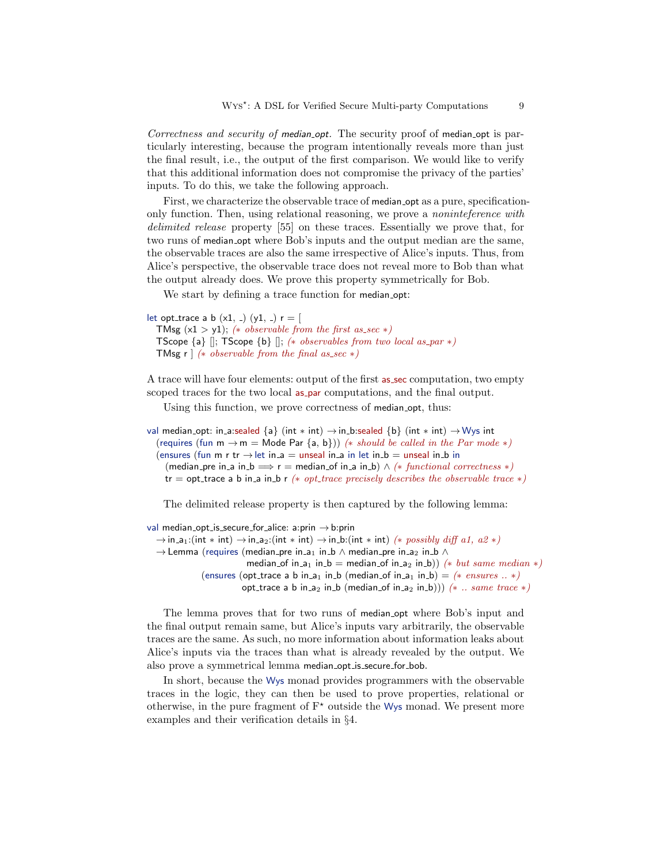Correctness and security of median opt. The security proof of median opt is particularly interesting, because the program intentionally reveals more than just the final result, i.e., the output of the first comparison. We would like to verify that this additional information does not compromise the privacy of the parties' inputs. To do this, we take the following approach.

First, we characterize the observable trace of median opt as a pure, specificationonly function. Then, using relational reasoning, we prove a noninteference with delimited release property [55] on these traces. Essentially we prove that, for two runs of median opt where Bob's inputs and the output median are the same, the observable traces are also the same irrespective of Alice's inputs. Thus, from Alice's perspective, the observable trace does not reveal more to Bob than what the output already does. We prove this property symmetrically for Bob.

We start by defining a trace function for median opt:

```
let opt_trace a b (x1, 0) (y1, 0) r = [
```

```
TMsg (x1 > y1); (*\;observable\; from\; the\; first\; as\_sec\; *)TScope {a} \in \{a\} []; TScope {b} \in \{b\} []; (* observables from two local as par *)
TMsg r \vert (* observable from the final as_sec *)
```
A trace will have four elements: output of the first as sec computation, two empty scoped traces for the two local as **par** computations, and the final output.

Using this function, we prove correctness of median opt, thus:

val median\_opt: in\_a:sealed {a} (int  $*$  int)  $\rightarrow$  in\_b:sealed {b} (int  $*$  int)  $\rightarrow$  Wys int (requires (fun  $m \rightarrow m =$  Mode Par {a, b})) (\* should be called in the Par mode \*) (ensures (fun m r tr  $\rightarrow$  let in a = unseal in a in let in b = unseal in b in (median pre in a in b  $\implies$  r = median of in a in b)  $\land$  (\* functional correctness \*)  $tr = opt$ -trace a b in a in b r (\* opt trace precisely describes the observable trace \*)

The delimited release property is then captured by the following lemma:

val median\_opt\_is\_secure\_for\_alice:  $a:prin \rightarrow b:prin$  $\rightarrow$  in  $a_1$ :(int \* int)  $\rightarrow$  in  $a_2$ :(int \* int)  $\rightarrow$  in b:(int \* int) (\* possibly diff a1, a2 \*)  $\rightarrow$  Lemma (requires (median\_pre in\_a<sub>1</sub> in\_b  $\wedge$  median\_pre in\_a<sub>2</sub> in\_b  $\wedge$ median of in  $a_1$  in  $b =$  median of in  $a_2$  in  $b)$ ) (\* but same median \*) (ensures (opt\_trace a b in\_a<sub>1</sub> in\_b (median\_of in\_a<sub>1</sub> in\_b) =  $(*$  ensures ..  $*)$ opt trace a b in  $a_2$  in b (median of in  $a_2$  in b))) (\* .. same trace \*)

The lemma proves that for two runs of median opt where Bob's input and the final output remain same, but Alice's inputs vary arbitrarily, the observable traces are the same. As such, no more information about information leaks about Alice's inputs via the traces than what is already revealed by the output. We also prove a symmetrical lemma median opt is secure for bob.

In short, because the Wys monad provides programmers with the observable traces in the logic, they can then be used to prove properties, relational or otherwise, in the pure fragment of  $F^*$  outside the Wys monad. We present more examples and their verification details in §4.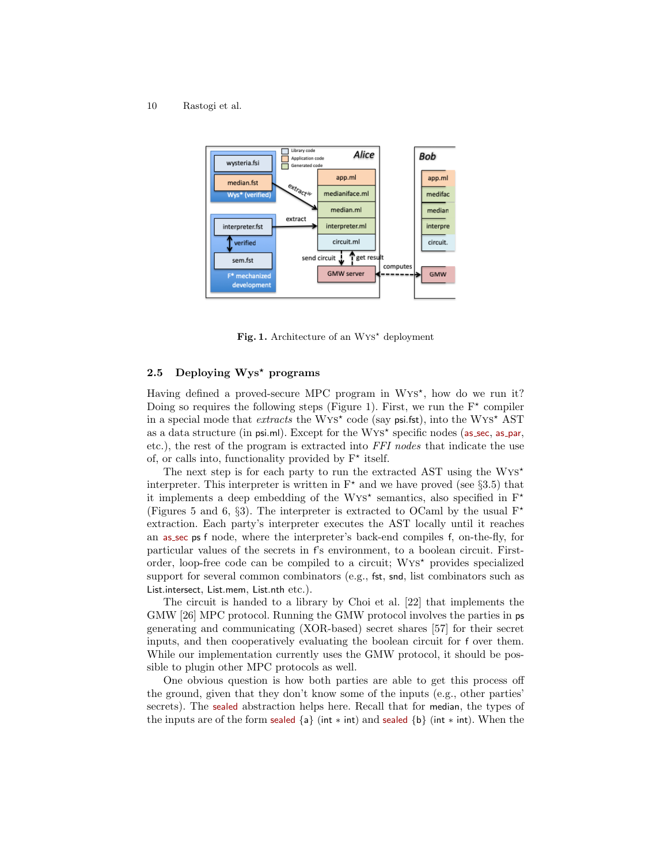

Fig. 1. Architecture of an Wys<sup>\*</sup> deployment

#### 2.5 Deploying Wys<sup>\*</sup> programs

Having defined a proved-secure MPC program in Wys<sup>\*</sup>, how do we run it? Doing so requires the following steps (Figure 1). First, we run the  $F^*$  compiler in a special mode that  $\text{extracts}$  the Wys<sup>\*</sup> code (say psi.fst), into the Wys<sup>\*</sup> AST as a data structure (in psi.ml). Except for the WYS<sup>\*</sup> specific nodes (as\_sec, as\_par, etc.), the rest of the program is extracted into FFI nodes that indicate the use of, or calls into, functionality provided by  $F^*$  itself.

The next step is for each party to run the extracted AST using the Wys<sup>\*</sup> interpreter. This interpreter is written in  $F^*$  and we have proved (see §3.5) that it implements a deep embedding of the Wys<sup>\*</sup> semantics, also specified in  $F^*$ (Figures 5 and 6, §3). The interpreter is extracted to OCaml by the usual  $F^*$ extraction. Each party's interpreter executes the AST locally until it reaches an as sec ps f node, where the interpreter's back-end compiles f, on-the-fly, for particular values of the secrets in f's environment, to a boolean circuit. Firstorder, loop-free code can be compiled to a circuit; Wys<sup>\*</sup> provides specialized support for several common combinators (e.g., fst, snd, list combinators such as List.intersect, List.mem, List.nth etc.).

The circuit is handed to a library by Choi et al. [22] that implements the GMW [26] MPC protocol. Running the GMW protocol involves the parties in ps generating and communicating (XOR-based) secret shares [57] for their secret inputs, and then cooperatively evaluating the boolean circuit for f over them. While our implementation currently uses the GMW protocol, it should be possible to plugin other MPC protocols as well.

One obvious question is how both parties are able to get this process off the ground, given that they don't know some of the inputs (e.g., other parties' secrets). The sealed abstraction helps here. Recall that for median, the types of the inputs are of the form sealed {a} (int ∗ int) and sealed {b} (int ∗ int). When the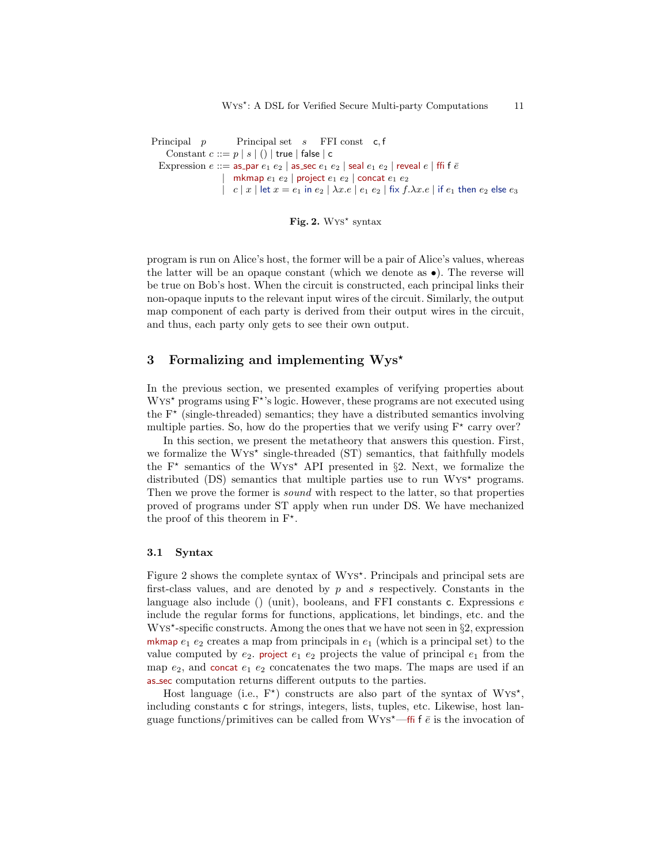```
Principal p Principal set s FFI const c, fConstant c ::= p | s | () | true | false | c
 Expression e ::= as par e_1 e_2 | as sec e_1 e_2 | seal e_1 e_2 | reveal e | ffi f \bar{e}| mkmap e_1 e_2 | project e_1 e_2 | concat e_1 e_2| c | x | let x = e_1 in e_2 | \lambda x.e | e_1 e_2 | fix f.\lambda x.e | if e_1 then e_2 else e_3
```


program is run on Alice's host, the former will be a pair of Alice's values, whereas the latter will be an opaque constant (which we denote as •). The reverse will be true on Bob's host. When the circuit is constructed, each principal links their non-opaque inputs to the relevant input wires of the circuit. Similarly, the output map component of each party is derived from their output wires in the circuit, and thus, each party only gets to see their own output.

# 3 Formalizing and implementing Wys?

In the previous section, we presented examples of verifying properties about Wys<sup>\*</sup> programs using  $F^*$ 's logic. However, these programs are not executed using the  $F^*$  (single-threaded) semantics; they have a distributed semantics involving multiple parties. So, how do the properties that we verify using  $F^*$  carry over?

In this section, we present the metatheory that answers this question. First, we formalize the  $WYS^*$  single-threaded  $(ST)$  semantics, that faithfully models the  $F^*$  semantics of the Wys<sup>\*</sup> API presented in §2. Next, we formalize the distributed  $(DS)$  semantics that multiple parties use to run Wys<sup>\*</sup> programs. Then we prove the former is *sound* with respect to the latter, so that properties proved of programs under ST apply when run under DS. We have mechanized the proof of this theorem in  $F^*$ .

#### 3.1 Syntax

Figure 2 shows the complete syntax of Wys<sup>\*</sup>. Principals and principal sets are first-class values, and are denoted by  $p$  and  $s$  respectively. Constants in the language also include () (unit), booleans, and FFI constants  $c$ . Expressions  $e$ include the regular forms for functions, applications, let bindings, etc. and the Wys<sup>\*</sup>-specific constructs. Among the ones that we have not seen in §2, expression mkmap  $e_1 e_2$  creates a map from principals in  $e_1$  (which is a principal set) to the value computed by  $e_2$ . project  $e_1$   $e_2$  projects the value of principal  $e_1$  from the map  $e_2$ , and concatenates the two maps. The maps are used if an as sec computation returns different outputs to the parties.

Host language (i.e.,  $F^*$ ) constructs are also part of the syntax of  $WYS^*$ , including constants c for strings, integers, lists, tuples, etc. Likewise, host language functions/primitives can be called from  $WYS^*$ —ffi f  $\bar{e}$  is the invocation of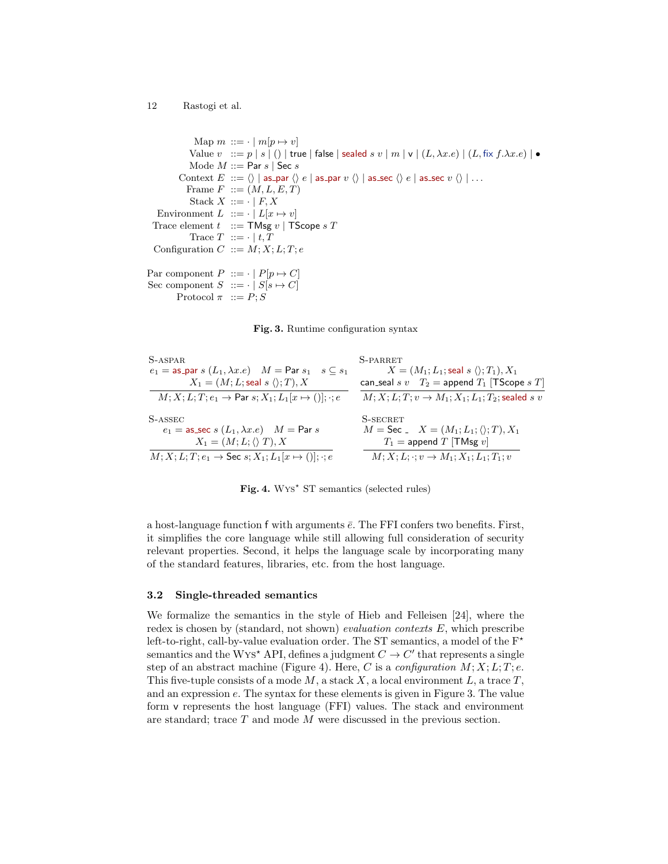```
Map m ::= \cdot | m[p \mapsto v]Value v ::= p | s | () | true | false | sealed s v | m | v | (L, \lambda x.e) | (L, fix f.\lambda x.e) | \bulletMode M ::= Par s \mid Sec sContext E := \langle \rangle | as par \langle \rangle e | as par v \langle \rangle | as sec \langle \rangle e | as sec v \langle \rangle | \dotsFrame F ::= (M, L, E, T)Stack X ::= \cdot | F, XEnvironment L := \cdot | L[x \mapsto v]\label{eq:trace} \text{Trace element } t \quad ::= \mathsf{TMsg}\ v \mid \mathsf{TScope}\ s\ TTrace T ::= \cdot | t, T
  Configuration C ::= M; X; L; T; ePar component P ::= \cdot | P[p \mapsto C]Sec component S ::= \cdot | S[s \mapsto C]Protocol \pi ::= P; S
```


| S-ASPAR                                                                             | S-PARRET                                                   |
|-------------------------------------------------------------------------------------|------------------------------------------------------------|
| $e_1 = \text{as\_par } s(L_1, \lambda x.e)$ $M = \text{Par } s_1$ $s \subseteq s_1$ | $X = (M_1; L_1; \text{seal } s \langle \rangle; T_1), X_1$ |
| $X_1 = (M; L; \text{seal } s \langle \rangle; T), X$                                | can_seal s v $T_2$ = append $T_1$ [TScope s T]             |
| $M; X; L; T; e_1 \rightarrow \textsf{Par} s; X_1; L_1[x \mapsto ()]; \cdot; e$      | $M; X; L; T; v \rightarrow M_1; X_1; L_1; T_2;$ sealed s v |
| S-ASSEC                                                                             | S-SECRET                                                   |
| $e_1$ = as_sec s $(L_1, \lambda x.e)$ $M$ = Par s                                   | $M =$ Sec $X = (M_1; L_1; \langle \rangle; T), X_1$        |
| $X_1 = (M; L; \langle \rangle T), X$                                                | $T_1$ = append T [TMsg v]                                  |
| $M; X; L; T; e_1 \rightarrow \text{Sec } s; X_1; L_1[x \mapsto ()]; \cdot; e$       | $M; X; L; \cdot; v \rightarrow M_1; X_1; L_1; T_1; v$      |

Fig. 4.  $WYS^*$  ST semantics (selected rules)

a host-language function f with arguments  $\bar{e}$ . The FFI confers two benefits. First, it simplifies the core language while still allowing full consideration of security relevant properties. Second, it helps the language scale by incorporating many of the standard features, libraries, etc. from the host language.

#### 3.2 Single-threaded semantics

We formalize the semantics in the style of Hieb and Felleisen [24], where the redex is chosen by (standard, not shown) evaluation contexts  $E$ , which prescribe left-to-right, call-by-value evaluation order. The ST semantics, a model of the  $F^*$ semantics and the Wys<sup>\*</sup> API, defines a judgment  $C \to C'$  that represents a single step of an abstract machine (Figure 4). Here, C is a configuration  $M; X; L; T; e$ . This five-tuple consists of a mode  $M$ , a stack  $X$ , a local environment  $L$ , a trace  $T$ , and an expression e. The syntax for these elements is given in Figure 3. The value form v represents the host language (FFI) values. The stack and environment are standard; trace T and mode M were discussed in the previous section.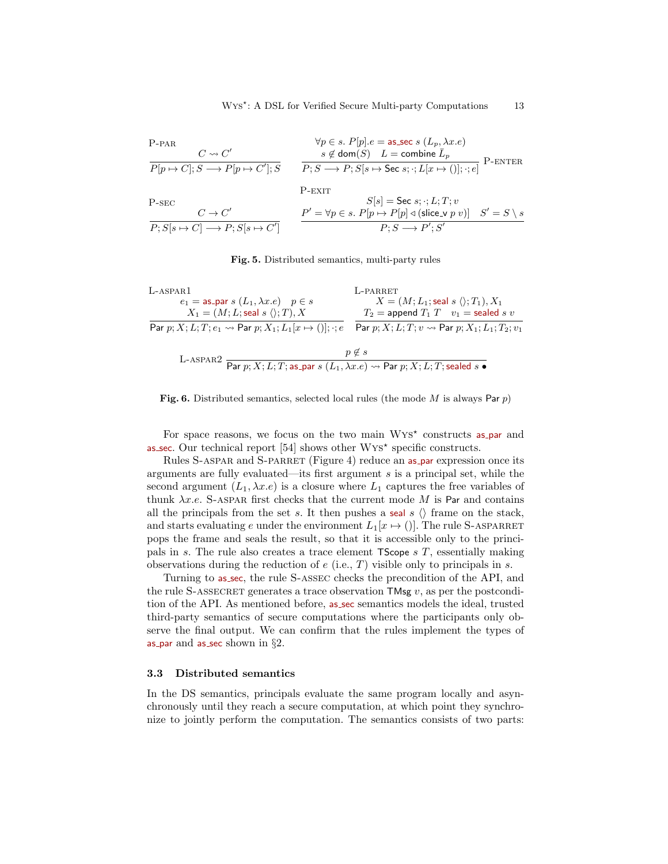$$
\dfrac{P\text{-PAR}}{P[p \mapsto C]; S \longrightarrow P[p \mapsto C']; S} \qquad \, \dfrac{\forall p \in s.\ P[p]. e = \text{as\_sec } s\ (L_p, \lambda x.e)}{s \not\in \text{dom}(S) \quad L = \text{combine } \bar{L}_p} \qquad \, \dfrac{s \not\in \text{dom}(S) \quad L = \text{combine } \bar{L}_p}{P; S \longrightarrow P; S[s \mapsto \text{Sec } s; \because L[x \mapsto ()]; \because e]} \text{ P-ENTER}
$$

P-EXIT

P-SEC  
\n
$$
C \to C'
$$
\n
$$
F; S[s \to C] \to P; S[s \to C']
$$
\n
$$
F; S[s \to C] \to P; S[s \to C']
$$
\n
$$
F; S \to P'; S'
$$
\n
$$
F; S \to P'; S'
$$

#### Fig. 5. Distributed semantics, multi-party rules

| $L-ASPAR1$                                                                          | L-PARRET                                                                                     |
|-------------------------------------------------------------------------------------|----------------------------------------------------------------------------------------------|
| $e_1 = \text{as\_par } s(L_1, \lambda x.e)$ $p \in s$                               | $X = (M; L_1; \text{seal } s \langle \rangle; T_1), X_1$                                     |
| $X_1 = (M; L; \text{seal } s \langle); T), X$                                       | $T_2$ = append $T_1$ $T$ $v_1$ = sealed s v                                                  |
| Par $p; X; L; T; e_1 \rightsquigarrow$ Par $p; X_1; L_1   x \mapsto ()  ; \cdot; e$ | Par $p; X; L; T; v \rightsquigarrow$ Par $p; X_1; L_1; T_2; v_1$                             |
| $p \notin s$<br>$L$ -ASPAR $2$                                                      |                                                                                              |
|                                                                                     | Par $p; X; L; T;$ as_par $s(L_1, \lambda x.e) \leadsto$ Par $p; X; L; T;$ sealed $s \bullet$ |

**Fig. 6.** Distributed semantics, selected local rules (the mode M is always Par p)

For space reasons, we focus on the two main  $WYS^*$  constructs as par and as sec. Our technical report [54] shows other  $Wys^*$  specific constructs.

Rules S-ASPAR and S-PARRET (Figure 4) reduce an as par expression once its arguments are fully evaluated—its first argument s is a principal set, while the second argument  $(L_1, \lambda x.e)$  is a closure where  $L_1$  captures the free variables of thunk  $\lambda x.e.$  S-ASPAR first checks that the current mode M is Par and contains all the principals from the set s. It then pushes a seal s  $\langle \rangle$  frame on the stack, and starts evaluating e under the environment  $L_1[x \mapsto ()$ . The rule S-ASPARRET pops the frame and seals the result, so that it is accessible only to the principals in s. The rule also creates a trace element  $T$ Scope s  $T$ , essentially making observations during the reduction of  $e$  (i.e.,  $T$ ) visible only to principals in s.

Turning to as sec, the rule S-assec checks the precondition of the API, and the rule S-ASSECRET generates a trace observation  $\mathsf{TMsg}\,v$ , as per the postcondition of the API. As mentioned before, as sec semantics models the ideal, trusted third-party semantics of secure computations where the participants only observe the final output. We can confirm that the rules implement the types of as par and as sec shown in  $\S2$ .

#### 3.3 Distributed semantics

In the DS semantics, principals evaluate the same program locally and asynchronously until they reach a secure computation, at which point they synchronize to jointly perform the computation. The semantics consists of two parts: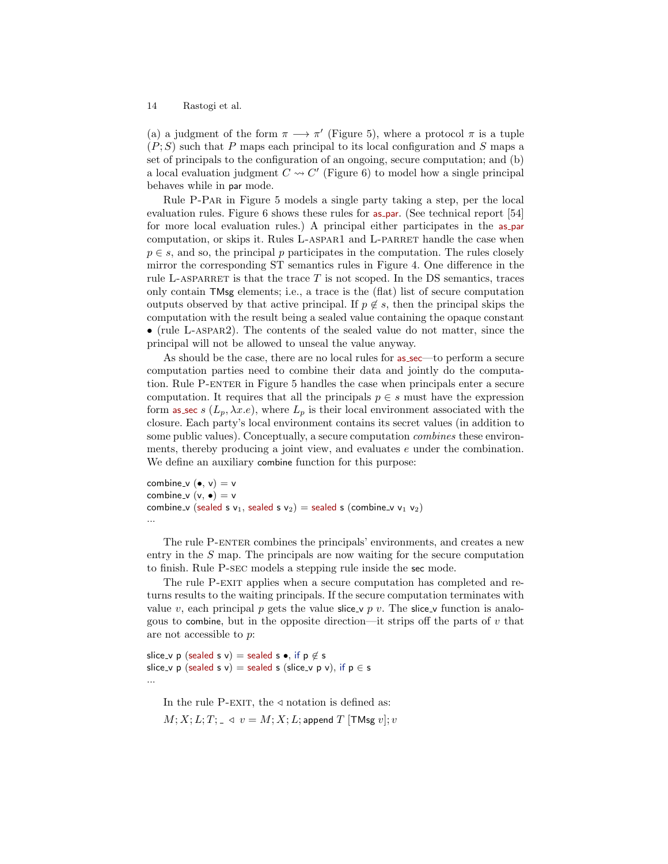(a) a judgment of the form  $\pi \longrightarrow \pi'$  (Figure 5), where a protocol  $\pi$  is a tuple  $(P; S)$  such that P maps each principal to its local configuration and S maps a set of principals to the configuration of an ongoing, secure computation; and (b) a local evaluation judgment  $C \leadsto C'$  (Figure 6) to model how a single principal behaves while in par mode.

Rule P-Par in Figure 5 models a single party taking a step, per the local evaluation rules. Figure 6 shows these rules for  $\alpha$ -par. (See technical report [54] for more local evaluation rules.) A principal either participates in the as-par computation, or skips it. Rules L-ASPAR1 and L-PARRET handle the case when  $p \in s$ , and so, the principal p participates in the computation. The rules closely mirror the corresponding ST semantics rules in Figure 4. One difference in the rule L-ASPARRET is that the trace  $T$  is not scoped. In the DS semantics, traces only contain TMsg elements; i.e., a trace is the (flat) list of secure computation outputs observed by that active principal. If  $p \notin s$ , then the principal skips the computation with the result being a sealed value containing the opaque constant • (rule L-aspar2). The contents of the sealed value do not matter, since the principal will not be allowed to unseal the value anyway.

As should be the case, there are no local rules for as sec—to perform a secure computation parties need to combine their data and jointly do the computation. Rule P-ENTER in Figure 5 handles the case when principals enter a secure computation. It requires that all the principals  $p \in s$  must have the expression form as sec s  $(L_p, \lambda x.e)$ , where  $L_p$  is their local environment associated with the closure. Each party's local environment contains its secret values (in addition to some public values). Conceptually, a secure computation combines these environments, thereby producing a joint view, and evaluates e under the combination. We define an auxiliary combine function for this purpose:

combine v  $(\bullet, v) = v$ combine v  $(v, \bullet) = v$ combine v (sealed s v<sub>1</sub>, sealed s v<sub>2</sub>) = sealed s (combine v v<sub>1</sub> v<sub>2</sub>) ...

The rule P-ENTER combines the principals' environments, and creates a new entry in the S map. The principals are now waiting for the secure computation to finish. Rule P-sec models a stepping rule inside the sec mode.

The rule P-EXIT applies when a secure computation has completed and returns results to the waiting principals. If the secure computation terminates with value v, each principal p gets the value slice v p v. The slice v function is analogous to combine, but in the opposite direction—it strips off the parts of v that are not accessible to p:

slice\_v p (sealed s v) = sealed s •, if  $p \notin s$ slice v p (sealed s v) = sealed s (slice v p v), if  $p \in s$ ...

In the rule P-EXIT, the  $\triangleleft$  notation is defined as:  $M; X; L; T; \neg A v = M; X; L; \text{append } T \text{ [TMsg } v]; v$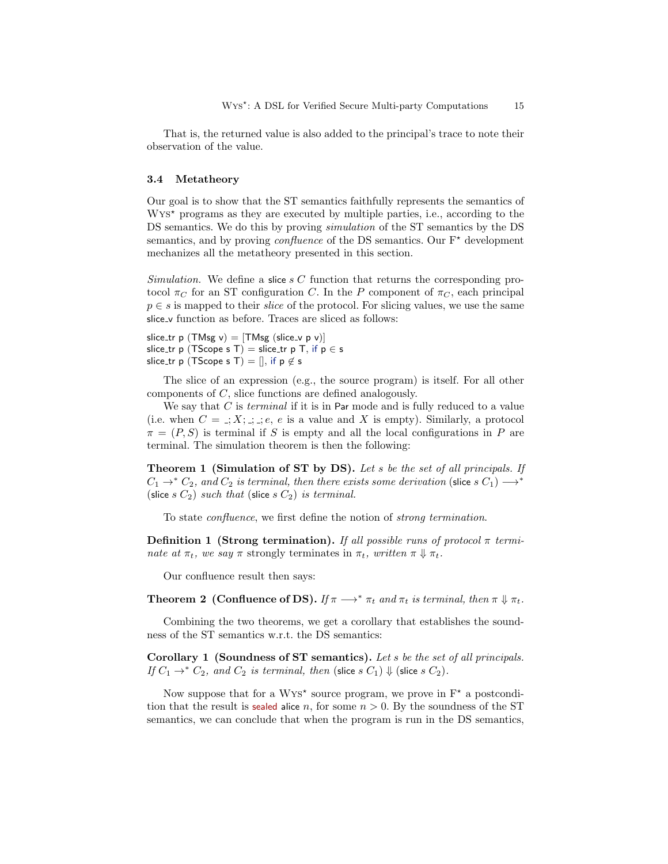That is, the returned value is also added to the principal's trace to note their observation of the value.

#### 3.4 Metatheory

Our goal is to show that the ST semantics faithfully represents the semantics of  $WYS^*$  programs as they are executed by multiple parties, i.e., according to the DS semantics. We do this by proving simulation of the ST semantics by the DS semantics, and by proving *confluence* of the DS semantics. Our  $F^*$  development mechanizes all the metatheory presented in this section.

Simulation. We define a slice  $s C$  function that returns the corresponding protocol  $\pi_C$  for an ST configuration C. In the P component of  $\pi_C$ , each principal  $p \in s$  is mapped to their *slice* of the protocol. For slicing values, we use the same slice v function as before. Traces are sliced as follows:

slice\_tr p  $(TMsg v) = [TMsg (slice_v p v)]$ slice\_tr p (TScope s T) = slice\_tr p T, if  $p \in s$ slice\_tr p (TScope s T) =  $[]$ , if p  $\notin$  s

The slice of an expression (e.g., the source program) is itself. For all other components of C, slice functions are defined analogously.

We say that  $C$  is *terminal* if it is in Par mode and is fully reduced to a value (i.e. when  $C = \frac{1}{2}X; \frac{1}{2}, \frac{1}{2}, e, e$  is a value and X is empty). Similarly, a protocol  $\pi = (P, S)$  is terminal if S is empty and all the local configurations in P are terminal. The simulation theorem is then the following:

Theorem 1 (Simulation of ST by DS). Let s be the set of all principals. If  $C_1 \rightarrow^* C_2$ , and  $C_2$  is terminal, then there exists some derivation (slice s  $C_1) \rightarrow^*$ (slice s  $C_2$ ) such that (slice s  $C_2$ ) is terminal.

To state confluence, we first define the notion of strong termination.

**Definition 1 (Strong termination).** If all possible runs of protocol  $\pi$  terminate at  $\pi_t$ , we say  $\pi$  strongly terminates in  $\pi_t$ , written  $\pi \Downarrow \pi_t$ .

Our confluence result then says:

**Theorem 2 (Confluence of DS).** If  $\pi \longrightarrow^* \pi_t$  and  $\pi_t$  is terminal, then  $\pi \Downarrow \pi_t$ .

Combining the two theorems, we get a corollary that establishes the soundness of the ST semantics w.r.t. the DS semantics:

Corollary 1 (Soundness of ST semantics). Let s be the set of all principals. If  $C_1 \rightarrow^* C_2$ , and  $C_2$  is terminal, then (slice s  $C_1$ )  $\Downarrow$  (slice s  $C_2$ ).

Now suppose that for a Wys<sup>\*</sup> source program, we prove in  $F^*$  a postcondition that the result is sealed alice n, for some  $n > 0$ . By the soundness of the ST semantics, we can conclude that when the program is run in the DS semantics,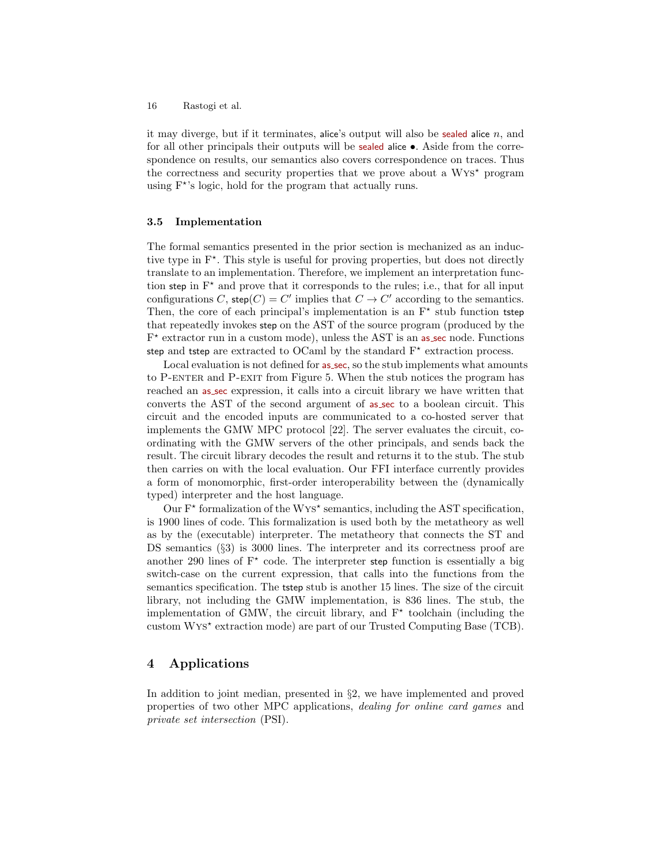it may diverge, but if it terminates, alice's output will also be sealed alice  $n$ , and for all other principals their outputs will be sealed alice •. Aside from the correspondence on results, our semantics also covers correspondence on traces. Thus the correctness and security properties that we prove about a  $WYS^*$  program using  $F^*$ 's logic, hold for the program that actually runs.

### 3.5 Implementation

The formal semantics presented in the prior section is mechanized as an inductive type in  $F^*$ . This style is useful for proving properties, but does not directly translate to an implementation. Therefore, we implement an interpretation function step in  $F^*$  and prove that it corresponds to the rules; i.e., that for all input configurations C,  $\text{step}(C) = C'$  implies that  $C \to C'$  according to the semantics. Then, the core of each principal's implementation is an  $F^*$  stub function tstep that repeatedly invokes step on the AST of the source program (produced by the  $F^*$  extractor run in a custom mode), unless the AST is an as sec node. Functions step and tstep are extracted to OCaml by the standard  $F^*$  extraction process.

Local evaluation is not defined for as sec, so the stub implements what amounts to P-ENTER and P-EXIT from Figure 5. When the stub notices the program has reached an as sec expression, it calls into a circuit library we have written that converts the AST of the second argument of as sec to a boolean circuit. This circuit and the encoded inputs are communicated to a co-hosted server that implements the GMW MPC protocol [22]. The server evaluates the circuit, coordinating with the GMW servers of the other principals, and sends back the result. The circuit library decodes the result and returns it to the stub. The stub then carries on with the local evaluation. Our FFI interface currently provides a form of monomorphic, first-order interoperability between the (dynamically typed) interpreter and the host language.

Our  $F^*$  formalization of the Wys<sup>\*</sup> semantics, including the AST specification, is 1900 lines of code. This formalization is used both by the metatheory as well as by the (executable) interpreter. The metatheory that connects the ST and DS semantics (§3) is 3000 lines. The interpreter and its correctness proof are another 290 lines of  $F^*$  code. The interpreter step function is essentially a big switch-case on the current expression, that calls into the functions from the semantics specification. The tstep stub is another 15 lines. The size of the circuit library, not including the GMW implementation, is 836 lines. The stub, the implementation of GMW, the circuit library, and  $F^*$  toolchain (including the custom Wys? extraction mode) are part of our Trusted Computing Base (TCB).

# 4 Applications

In addition to joint median, presented in §2, we have implemented and proved properties of two other MPC applications, dealing for online card games and private set intersection (PSI).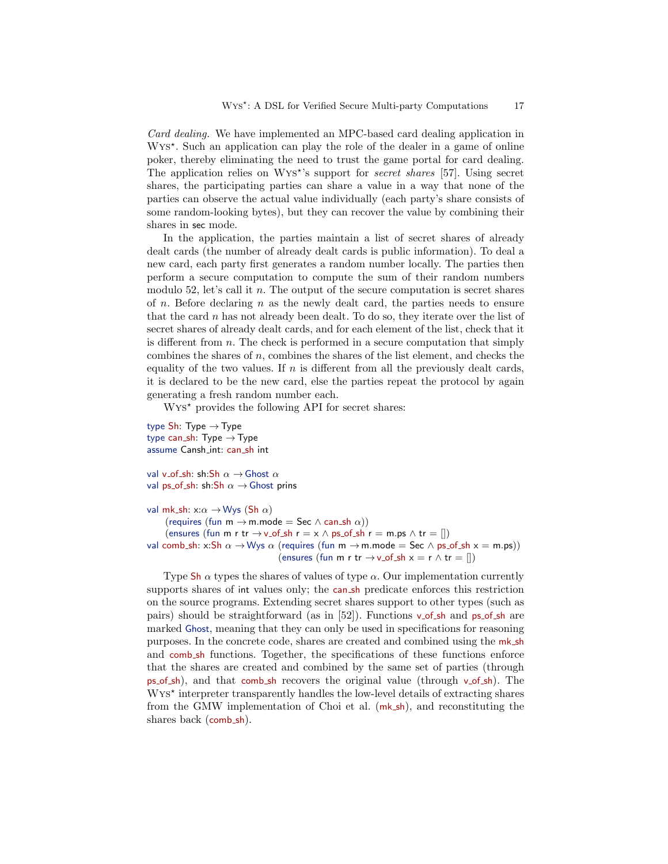Card dealing. We have implemented an MPC-based card dealing application in Wys<sup>\*</sup>. Such an application can play the role of the dealer in a game of online poker, thereby eliminating the need to trust the game portal for card dealing. The application relies on  $WYS^*$ 's support for *secret shares* [57]. Using secret shares, the participating parties can share a value in a way that none of the parties can observe the actual value individually (each party's share consists of some random-looking bytes), but they can recover the value by combining their shares in sec mode.

In the application, the parties maintain a list of secret shares of already dealt cards (the number of already dealt cards is public information). To deal a new card, each party first generates a random number locally. The parties then perform a secure computation to compute the sum of their random numbers modulo 52, let's call it  $n$ . The output of the secure computation is secret shares of  $n$ . Before declaring  $n$  as the newly dealt card, the parties needs to ensure that the card n has not already been dealt. To do so, they iterate over the list of secret shares of already dealt cards, and for each element of the list, check that it is different from  $n$ . The check is performed in a secure computation that simply combines the shares of  $n$ , combines the shares of the list element, and checks the equality of the two values. If  $n$  is different from all the previously dealt cards, it is declared to be the new card, else the parties repeat the protocol by again generating a fresh random number each.

Wys? provides the following API for secret shares:

type Sh: Type  $\rightarrow$  Type type can\_sh:  $Type \rightarrow Type$ assume Cansh\_int: can\_sh int

val v\_of\_sh: sh:Sh  $\alpha \rightarrow$  Ghost  $\alpha$ val ps\_of\_sh: sh:Sh  $\alpha \rightarrow$  Ghost prins

val mk\_sh:  $x:\alpha \rightarrow W$ ys (Sh  $\alpha$ ) (requires (fun m  $\rightarrow$  m.mode = Sec  $\land$  can sh  $\alpha$ )) (ensures (fun m r tr  $\rightarrow$  v\_of\_sh r = x  $\land$  ps\_of\_sh r = m.ps  $\land$  tr = []) val comb sh: x:Sh  $\alpha \rightarrow W$ ys  $\alpha$  (requires (fun m  $\rightarrow$  m.mode = Sec  $\land$  ps of sh  $x = m$ .ps)) (ensures (fun m r tr  $\rightarrow$  v\_of\_sh  $x = r \wedge tr = []$ )

Type Sh  $\alpha$  types the shares of values of type  $\alpha$ . Our implementation currently supports shares of int values only; the can sh predicate enforces this restriction on the source programs. Extending secret shares support to other types (such as pairs) should be straightforward (as in  $[52]$ ). Functions v of sh and ps of sh are marked Ghost, meaning that they can only be used in specifications for reasoning purposes. In the concrete code, shares are created and combined using the mk sh and comb sh functions. Together, the specifications of these functions enforce that the shares are created and combined by the same set of parties (through  $ps_of.sh$ , and that comb sh recovers the original value (through v of sh). The Wys<sup>\*</sup> interpreter transparently handles the low-level details of extracting shares from the GMW implementation of Choi et al. ( $mk.sh$ ), and reconstituting the shares back (comb\_sh).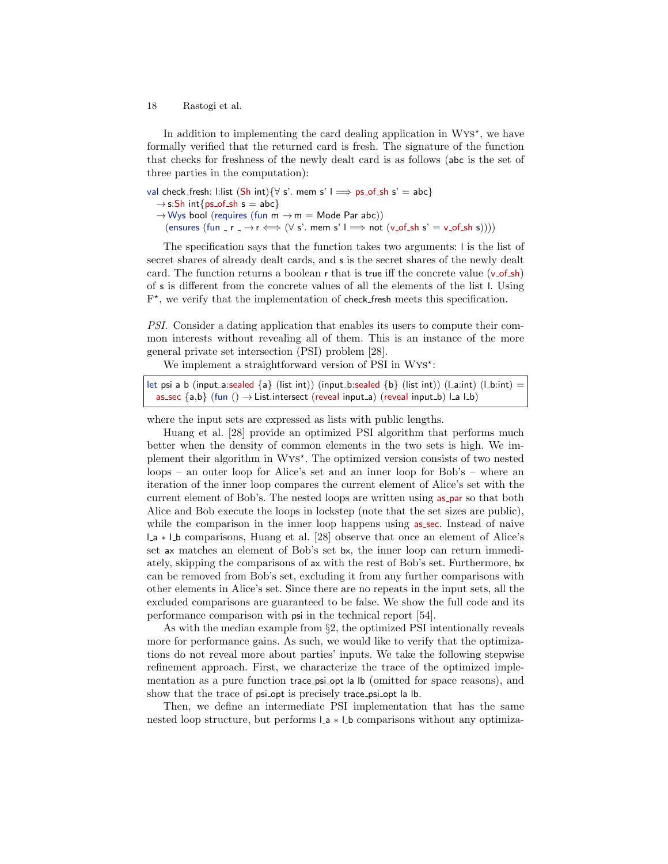In addition to implementing the card dealing application in  $WYS^*$ , we have formally verified that the returned card is fresh. The signature of the function that checks for freshness of the newly dealt card is as follows (abc is the set of three parties in the computation):

val check fresh: l:list  $(Sh int){\forall s'}.$  mem s' l  $\implies$  ps of sh s' = abc}  $\rightarrow$  s:Sh int{ps\_of\_sh s = abc}  $\rightarrow$  Wys bool (requires (fun m  $\rightarrow$  m = Mode Par abc)) (ensures (fun \_ r \_ → r  $\Longleftrightarrow$  ( $\forall$  s'. mem s' l  $\Longrightarrow$  not (v\_of\_sh s' = v\_of\_sh s))))

The specification says that the function takes two arguments: l is the list of secret shares of already dealt cards, and s is the secret shares of the newly dealt card. The function returns a boolean r that is true iff the concrete value  $(v \circ f \circ h)$ of s is different from the concrete values of all the elements of the list l. Using F<sup>\*</sup>, we verify that the implementation of check\_fresh meets this specification.

PSI. Consider a dating application that enables its users to compute their common interests without revealing all of them. This is an instance of the more general private set intersection (PSI) problem [28].

We implement a straightforward version of PSI in Wys\*:

| let psi a b (input_a:sealed {a} (list int)) (input_b:sealed {b} (list int)) (l_a:int) (l_b:int) = |
|---------------------------------------------------------------------------------------------------|
| as_sec {a,b} (fun () $\rightarrow$ List.intersect (reveal input_a) (reveal input_b) l_a l_b)      |

where the input sets are expressed as lists with public lengths.

Huang et al. [28] provide an optimized PSI algorithm that performs much better when the density of common elements in the two sets is high. We implement their algorithm in Wys? . The optimized version consists of two nested loops – an outer loop for Alice's set and an inner loop for Bob's – where an iteration of the inner loop compares the current element of Alice's set with the current element of Bob's. The nested loops are written using as par so that both Alice and Bob execute the loops in lockstep (note that the set sizes are public), while the comparison in the inner loop happens using as sec. Instead of naive l a ∗ l b comparisons, Huang et al. [28] observe that once an element of Alice's set ax matches an element of Bob's set bx, the inner loop can return immediately, skipping the comparisons of ax with the rest of Bob's set. Furthermore, bx can be removed from Bob's set, excluding it from any further comparisons with other elements in Alice's set. Since there are no repeats in the input sets, all the excluded comparisons are guaranteed to be false. We show the full code and its performance comparison with psi in the technical report [54].

As with the median example from §2, the optimized PSI intentionally reveals more for performance gains. As such, we would like to verify that the optimizations do not reveal more about parties' inputs. We take the following stepwise refinement approach. First, we characterize the trace of the optimized implementation as a pure function trace psi opt la lb (omitted for space reasons), and show that the trace of psi-opt is precisely trace-psi-opt la lb.

Then, we define an intermediate PSI implementation that has the same nested loop structure, but performs l<sub>a</sub> ∗ l<sub>b</sub> comparisons without any optimiza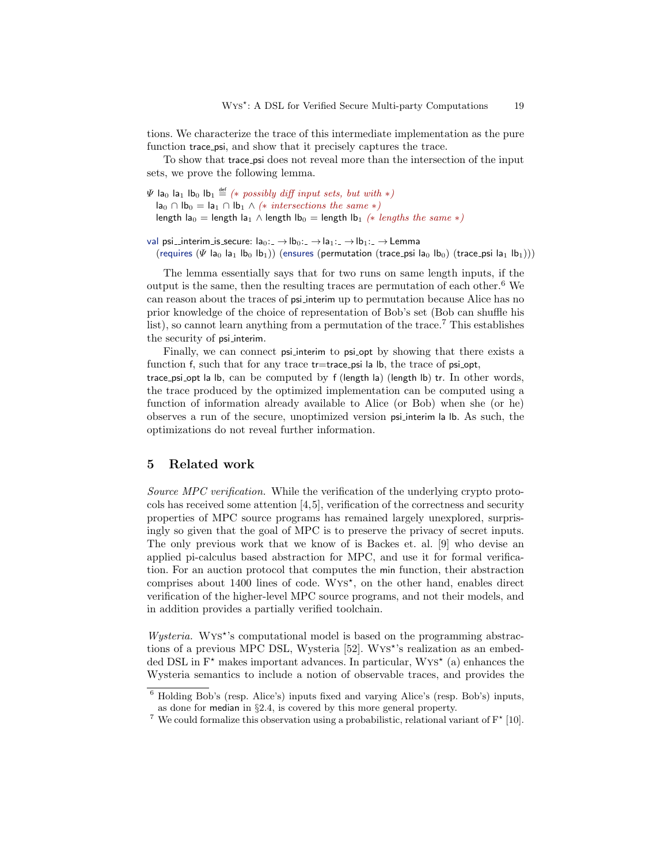tions. We characterize the trace of this intermediate implementation as the pure function trace psi, and show that it precisely captures the trace.

To show that trace psi does not reveal more than the intersection of the input sets, we prove the following lemma.

 $\Psi$  la<sub>0</sub> la<sub>1</sub> lb<sub>0</sub> lb<sub>1</sub>  $\stackrel{\text{def}}{=}$   $(*$  possibly diff input sets, but with  $*)$ la<sub>0</sub> ∩ lb<sub>0</sub> = la<sub>1</sub> ∩ lb<sub>1</sub> ∧ (\* *intersections the same* \*) length la<sub>0</sub> = length la<sub>1</sub>  $\land$  length lb<sub>0</sub> = length lb<sub>1</sub> (\* lengths the same \*)

val psi interim is secure:  $Ia_0: = \rightarrow Ib_0: = \rightarrow Ia_1: = \rightarrow Ib_1: = \rightarrow$  Lemma (requires ( $\Psi$  la<sub>0</sub> la<sub>1</sub> lb<sub>0</sub> lb<sub>1</sub>)) (ensures (permutation (trace\_psi la<sub>0</sub> lb<sub>0</sub>) (trace\_psi la<sub>1</sub> lb<sub>1</sub>)))

The lemma essentially says that for two runs on same length inputs, if the output is the same, then the resulting traces are permutation of each other.<sup>6</sup> We can reason about the traces of psi interim up to permutation because Alice has no prior knowledge of the choice of representation of Bob's set (Bob can shuffle his list), so cannot learn anything from a permutation of the trace.<sup>7</sup> This establishes the security of psi interim.

Finally, we can connect psi interim to psi-opt by showing that there exists a function f, such that for any trace tr=trace psi la lb, the trace of psi opt,

trace psi opt la lb, can be computed by f (length la) (length lb) tr. In other words, the trace produced by the optimized implementation can be computed using a function of information already available to Alice (or Bob) when she (or he) observes a run of the secure, unoptimized version psi interim la lb. As such, the optimizations do not reveal further information.

# 5 Related work

Source MPC verification. While the verification of the underlying crypto protocols has received some attention [4,5], verification of the correctness and security properties of MPC source programs has remained largely unexplored, surprisingly so given that the goal of MPC is to preserve the privacy of secret inputs. The only previous work that we know of is Backes et. al. [9] who devise an applied pi-calculus based abstraction for MPC, and use it for formal verification. For an auction protocol that computes the min function, their abstraction comprises about 1400 lines of code. Wys? , on the other hand, enables direct verification of the higher-level MPC source programs, and not their models, and in addition provides a partially verified toolchain.

 $Wysteria$ . Wys<sup>\*</sup>'s computational model is based on the programming abstractions of a previous MPC DSL, Wysteria [52]. Wys\*'s realization as an embedded DSL in  $F^*$  makes important advances. In particular, Wys<sup>\*</sup> (a) enhances the Wysteria semantics to include a notion of observable traces, and provides the

<sup>6</sup> Holding Bob's (resp. Alice's) inputs fixed and varying Alice's (resp. Bob's) inputs, as done for median in §2.4, is covered by this more general property.

<sup>&</sup>lt;sup>7</sup> We could formalize this observation using a probabilistic, relational variant of  $F^*$  [10].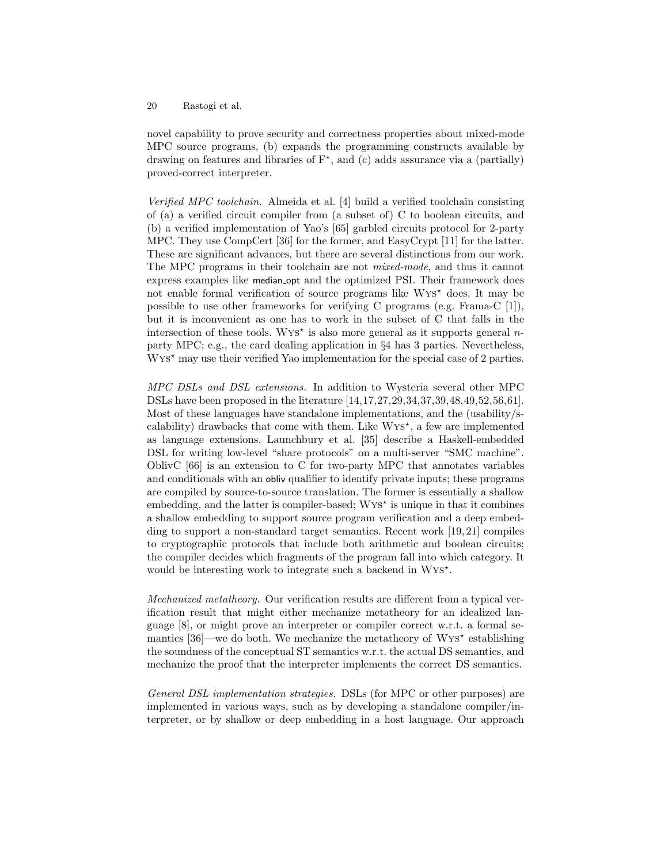novel capability to prove security and correctness properties about mixed-mode MPC source programs, (b) expands the programming constructs available by drawing on features and libraries of  $F^*$ , and (c) adds assurance via a (partially) proved-correct interpreter.

Verified MPC toolchain. Almeida et al. [4] build a verified toolchain consisting of (a) a verified circuit compiler from (a subset of) C to boolean circuits, and (b) a verified implementation of Yao's [65] garbled circuits protocol for 2-party MPC. They use CompCert [36] for the former, and EasyCrypt [11] for the latter. These are significant advances, but there are several distinctions from our work. The MPC programs in their toolchain are not mixed-mode, and thus it cannot express examples like median opt and the optimized PSI. Their framework does not enable formal verification of source programs like  $Wys^*$  does. It may be possible to use other frameworks for verifying C programs (e.g. Frama-C [1]), but it is inconvenient as one has to work in the subset of C that falls in the intersection of these tools. Wys<sup>\*</sup> is also more general as it supports general  $n$ party MPC; e.g., the card dealing application in §4 has 3 parties. Nevertheless,  $WYS^{\star}$  may use their verified Yao implementation for the special case of 2 parties.

MPC DSLs and DSL extensions. In addition to Wysteria several other MPC DSLs have been proposed in the literature [14,17,27,29,34,37,39,48,49,52,56,61]. Most of these languages have standalone implementations, and the (usability/scalability) drawbacks that come with them. Like  $WYS^*$ , a few are implemented as language extensions. Launchbury et al. [35] describe a Haskell-embedded DSL for writing low-level "share protocols" on a multi-server "SMC machine". OblivC [66] is an extension to C for two-party MPC that annotates variables and conditionals with an obliv qualifier to identify private inputs; these programs are compiled by source-to-source translation. The former is essentially a shallow embedding, and the latter is compiler-based;  $WYS^*$  is unique in that it combines a shallow embedding to support source program verification and a deep embedding to support a non-standard target semantics. Recent work [19, 21] compiles to cryptographic protocols that include both arithmetic and boolean circuits; the compiler decides which fragments of the program fall into which category. It would be interesting work to integrate such a backend in Wys\*.

Mechanized metatheory. Our verification results are different from a typical verification result that might either mechanize metatheory for an idealized language [8], or might prove an interpreter or compiler correct w.r.t. a formal semantics  $[36]$ —we do both. We mechanize the metatheory of Wys<sup>\*</sup> establishing the soundness of the conceptual ST semantics w.r.t. the actual DS semantics, and mechanize the proof that the interpreter implements the correct DS semantics.

General DSL implementation strategies. DSLs (for MPC or other purposes) are implemented in various ways, such as by developing a standalone compiler/interpreter, or by shallow or deep embedding in a host language. Our approach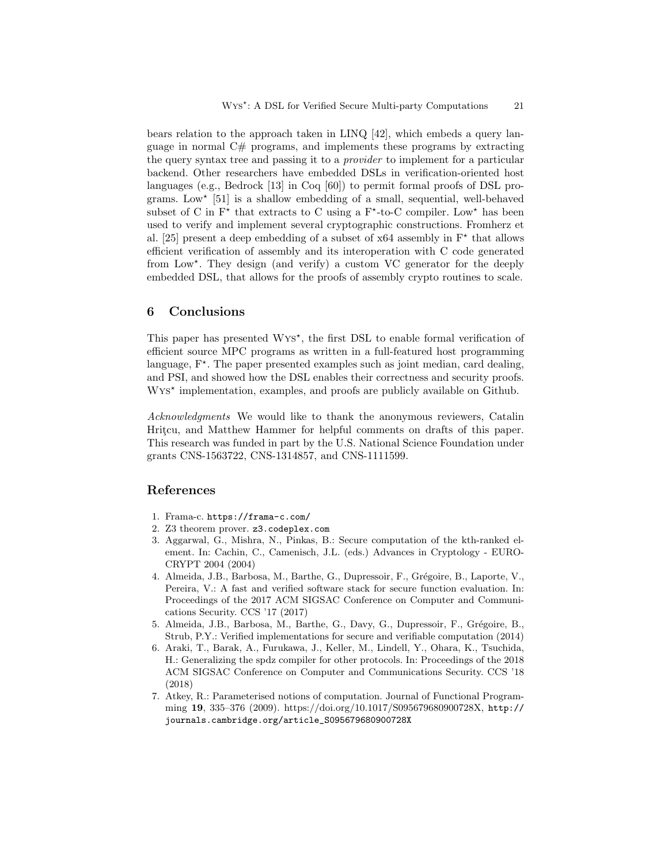bears relation to the approach taken in LINQ [42], which embeds a query language in normal  $C#$  programs, and implements these programs by extracting the query syntax tree and passing it to a provider to implement for a particular backend. Other researchers have embedded DSLs in verification-oriented host languages (e.g., Bedrock [13] in Coq [60]) to permit formal proofs of DSL programs. Low? [51] is a shallow embedding of a small, sequential, well-behaved subset of C in  $F^*$  that extracts to C using a  $F^*$ -to-C compiler. Low<sup>\*</sup> has been used to verify and implement several cryptographic constructions. Fromherz et al. [25] present a deep embedding of a subset of  $x64$  assembly in  $F^*$  that allows efficient verification of assembly and its interoperation with C code generated from Low<sup>\*</sup>. They design (and verify) a custom VC generator for the deeply embedded DSL, that allows for the proofs of assembly crypto routines to scale.

# 6 Conclusions

This paper has presented Wys<sup>\*</sup>, the first DSL to enable formal verification of efficient source MPC programs as written in a full-featured host programming language,  $F^*$ . The paper presented examples such as joint median, card dealing, and PSI, and showed how the DSL enables their correctness and security proofs. Wys? implementation, examples, and proofs are publicly available on Github.

Acknowledgments We would like to thank the anonymous reviewers, Catalin Hrit<sub>cu</sub>, and Matthew Hammer for helpful comments on drafts of this paper. This research was funded in part by the U.S. National Science Foundation under grants CNS-1563722, CNS-1314857, and CNS-1111599.

## References

- 1. Frama-c. https://frama-c.com/
- 2. Z3 theorem prover. z3.codeplex.com
- 3. Aggarwal, G., Mishra, N., Pinkas, B.: Secure computation of the kth-ranked element. In: Cachin, C., Camenisch, J.L. (eds.) Advances in Cryptology - EURO-CRYPT 2004 (2004)
- 4. Almeida, J.B., Barbosa, M., Barthe, G., Dupressoir, F., Grégoire, B., Laporte, V., Pereira, V.: A fast and verified software stack for secure function evaluation. In: Proceedings of the 2017 ACM SIGSAC Conference on Computer and Communications Security. CCS '17 (2017)
- 5. Almeida, J.B., Barbosa, M., Barthe, G., Davy, G., Dupressoir, F., Grégoire, B., Strub, P.Y.: Verified implementations for secure and verifiable computation (2014)
- 6. Araki, T., Barak, A., Furukawa, J., Keller, M., Lindell, Y., Ohara, K., Tsuchida, H.: Generalizing the spdz compiler for other protocols. In: Proceedings of the 2018 ACM SIGSAC Conference on Computer and Communications Security. CCS '18 (2018)
- 7. Atkey, R.: Parameterised notions of computation. Journal of Functional Programming 19, 335–376 (2009). https://doi.org/10.1017/S095679680900728X, http:// journals.cambridge.org/article\_S095679680900728X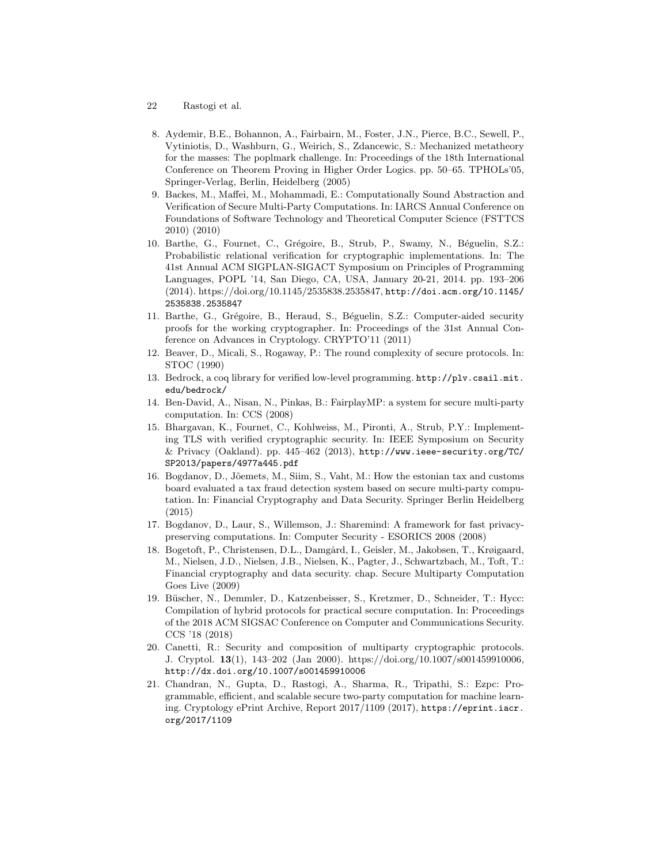- 22 Rastogi et al.
- 8. Aydemir, B.E., Bohannon, A., Fairbairn, M., Foster, J.N., Pierce, B.C., Sewell, P., Vytiniotis, D., Washburn, G., Weirich, S., Zdancewic, S.: Mechanized metatheory for the masses: The poplmark challenge. In: Proceedings of the 18th International Conference on Theorem Proving in Higher Order Logics. pp. 50–65. TPHOLs'05, Springer-Verlag, Berlin, Heidelberg (2005)
- 9. Backes, M., Maffei, M., Mohammadi, E.: Computationally Sound Abstraction and Verification of Secure Multi-Party Computations. In: IARCS Annual Conference on Foundations of Software Technology and Theoretical Computer Science (FSTTCS 2010) (2010)
- 10. Barthe, G., Fournet, C., Grégoire, B., Strub, P., Swamy, N., Béguelin, S.Z.: Probabilistic relational verification for cryptographic implementations. In: The 41st Annual ACM SIGPLAN-SIGACT Symposium on Principles of Programming Languages, POPL '14, San Diego, CA, USA, January 20-21, 2014. pp. 193–206 (2014). https://doi.org/10.1145/2535838.2535847, http://doi.acm.org/10.1145/ 2535838.2535847
- 11. Barthe, G., Grégoire, B., Heraud, S., Béguelin, S.Z.: Computer-aided security proofs for the working cryptographer. In: Proceedings of the 31st Annual Conference on Advances in Cryptology. CRYPTO'11 (2011)
- 12. Beaver, D., Micali, S., Rogaway, P.: The round complexity of secure protocols. In: STOC (1990)
- 13. Bedrock, a coq library for verified low-level programming. http://plv.csail.mit. edu/bedrock/
- 14. Ben-David, A., Nisan, N., Pinkas, B.: FairplayMP: a system for secure multi-party computation. In: CCS (2008)
- 15. Bhargavan, K., Fournet, C., Kohlweiss, M., Pironti, A., Strub, P.Y.: Implementing TLS with verified cryptographic security. In: IEEE Symposium on Security & Privacy (Oakland). pp. 445–462 (2013), http://www.ieee-security.org/TC/ SP2013/papers/4977a445.pdf
- 16. Bogdanov, D., Jõemets, M., Siim, S., Vaht, M.: How the estonian tax and customs board evaluated a tax fraud detection system based on secure multi-party computation. In: Financial Cryptography and Data Security. Springer Berlin Heidelberg (2015)
- 17. Bogdanov, D., Laur, S., Willemson, J.: Sharemind: A framework for fast privacypreserving computations. In: Computer Security - ESORICS 2008 (2008)
- 18. Bogetoft, P., Christensen, D.L., Damgård, I., Geisler, M., Jakobsen, T., Krøigaard, M., Nielsen, J.D., Nielsen, J.B., Nielsen, K., Pagter, J., Schwartzbach, M., Toft, T.: Financial cryptography and data security. chap. Secure Multiparty Computation Goes Live (2009)
- 19. B¨uscher, N., Demmler, D., Katzenbeisser, S., Kretzmer, D., Schneider, T.: Hycc: Compilation of hybrid protocols for practical secure computation. In: Proceedings of the 2018 ACM SIGSAC Conference on Computer and Communications Security. CCS '18 (2018)
- 20. Canetti, R.: Security and composition of multiparty cryptographic protocols. J. Cryptol. 13(1), 143–202 (Jan 2000). https://doi.org/10.1007/s001459910006, http://dx.doi.org/10.1007/s001459910006
- 21. Chandran, N., Gupta, D., Rastogi, A., Sharma, R., Tripathi, S.: Ezpc: Programmable, efficient, and scalable secure two-party computation for machine learning. Cryptology ePrint Archive, Report 2017/1109 (2017), https://eprint.iacr. org/2017/1109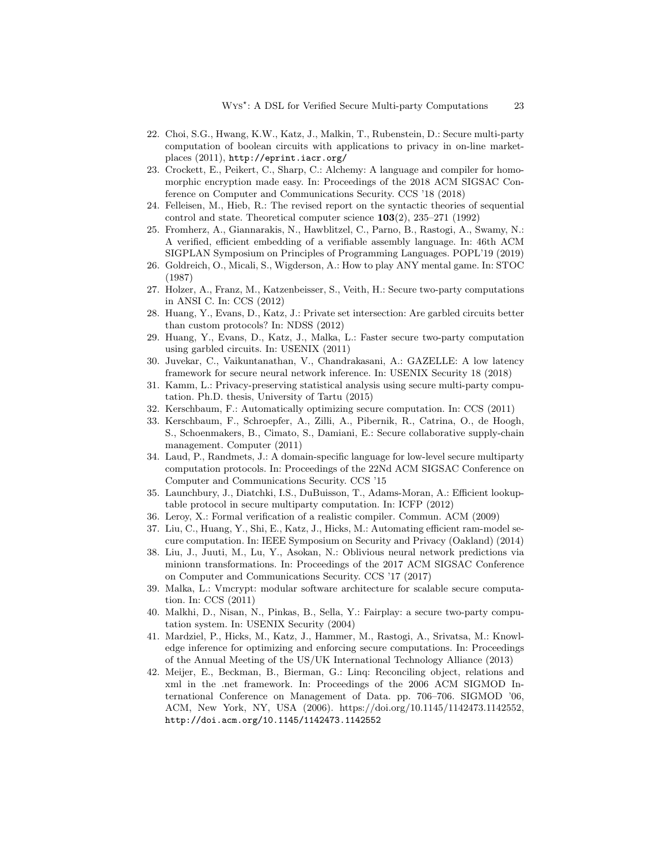- 22. Choi, S.G., Hwang, K.W., Katz, J., Malkin, T., Rubenstein, D.: Secure multi-party computation of boolean circuits with applications to privacy in on-line marketplaces (2011), http://eprint.iacr.org/
- 23. Crockett, E., Peikert, C., Sharp, C.: Alchemy: A language and compiler for homomorphic encryption made easy. In: Proceedings of the 2018 ACM SIGSAC Conference on Computer and Communications Security. CCS '18 (2018)
- 24. Felleisen, M., Hieb, R.: The revised report on the syntactic theories of sequential control and state. Theoretical computer science 103(2), 235–271 (1992)
- 25. Fromherz, A., Giannarakis, N., Hawblitzel, C., Parno, B., Rastogi, A., Swamy, N.: A verified, efficient embedding of a verifiable assembly language. In: 46th ACM SIGPLAN Symposium on Principles of Programming Languages. POPL'19 (2019)
- 26. Goldreich, O., Micali, S., Wigderson, A.: How to play ANY mental game. In: STOC (1987)
- 27. Holzer, A., Franz, M., Katzenbeisser, S., Veith, H.: Secure two-party computations in ANSI C. In: CCS (2012)
- 28. Huang, Y., Evans, D., Katz, J.: Private set intersection: Are garbled circuits better than custom protocols? In: NDSS (2012)
- 29. Huang, Y., Evans, D., Katz, J., Malka, L.: Faster secure two-party computation using garbled circuits. In: USENIX (2011)
- 30. Juvekar, C., Vaikuntanathan, V., Chandrakasani, A.: GAZELLE: A low latency framework for secure neural network inference. In: USENIX Security 18 (2018)
- 31. Kamm, L.: Privacy-preserving statistical analysis using secure multi-party computation. Ph.D. thesis, University of Tartu (2015)
- 32. Kerschbaum, F.: Automatically optimizing secure computation. In: CCS (2011)
- 33. Kerschbaum, F., Schroepfer, A., Zilli, A., Pibernik, R., Catrina, O., de Hoogh, S., Schoenmakers, B., Cimato, S., Damiani, E.: Secure collaborative supply-chain management. Computer (2011)
- 34. Laud, P., Randmets, J.: A domain-specific language for low-level secure multiparty computation protocols. In: Proceedings of the 22Nd ACM SIGSAC Conference on Computer and Communications Security. CCS '15
- 35. Launchbury, J., Diatchki, I.S., DuBuisson, T., Adams-Moran, A.: Efficient lookuptable protocol in secure multiparty computation. In: ICFP (2012)
- 36. Leroy, X.: Formal verification of a realistic compiler. Commun. ACM (2009)
- 37. Liu, C., Huang, Y., Shi, E., Katz, J., Hicks, M.: Automating efficient ram-model secure computation. In: IEEE Symposium on Security and Privacy (Oakland) (2014)
- 38. Liu, J., Juuti, M., Lu, Y., Asokan, N.: Oblivious neural network predictions via minionn transformations. In: Proceedings of the 2017 ACM SIGSAC Conference on Computer and Communications Security. CCS '17 (2017)
- 39. Malka, L.: Vmcrypt: modular software architecture for scalable secure computation. In: CCS (2011)
- 40. Malkhi, D., Nisan, N., Pinkas, B., Sella, Y.: Fairplay: a secure two-party computation system. In: USENIX Security (2004)
- 41. Mardziel, P., Hicks, M., Katz, J., Hammer, M., Rastogi, A., Srivatsa, M.: Knowledge inference for optimizing and enforcing secure computations. In: Proceedings of the Annual Meeting of the US/UK International Technology Alliance (2013)
- 42. Meijer, E., Beckman, B., Bierman, G.: Linq: Reconciling object, relations and xml in the .net framework. In: Proceedings of the 2006 ACM SIGMOD International Conference on Management of Data. pp. 706–706. SIGMOD '06, ACM, New York, NY, USA (2006). https://doi.org/10.1145/1142473.1142552, http://doi.acm.org/10.1145/1142473.1142552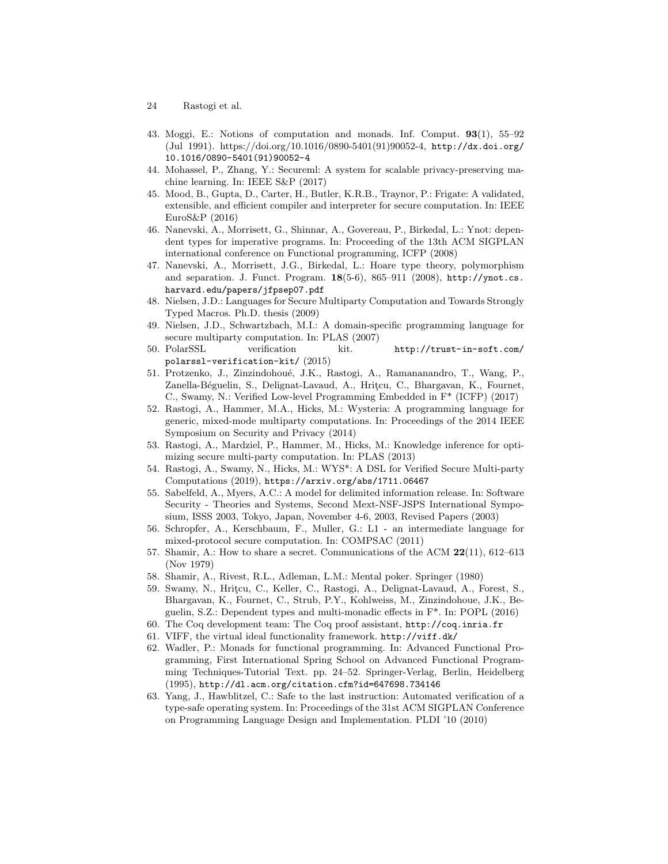- 24 Rastogi et al.
- 43. Moggi, E.: Notions of computation and monads. Inf. Comput. 93(1), 55–92 (Jul 1991). https://doi.org/10.1016/0890-5401(91)90052-4, http://dx.doi.org/ 10.1016/0890-5401(91)90052-4
- 44. Mohassel, P., Zhang, Y.: Secureml: A system for scalable privacy-preserving machine learning. In: IEEE S&P (2017)
- 45. Mood, B., Gupta, D., Carter, H., Butler, K.R.B., Traynor, P.: Frigate: A validated, extensible, and efficient compiler and interpreter for secure computation. In: IEEE EuroS&P (2016)
- 46. Nanevski, A., Morrisett, G., Shinnar, A., Govereau, P., Birkedal, L.: Ynot: dependent types for imperative programs. In: Proceeding of the 13th ACM SIGPLAN international conference on Functional programming, ICFP (2008)
- 47. Nanevski, A., Morrisett, J.G., Birkedal, L.: Hoare type theory, polymorphism and separation. J. Funct. Program. 18(5-6), 865–911 (2008), http://ynot.cs. harvard.edu/papers/jfpsep07.pdf
- 48. Nielsen, J.D.: Languages for Secure Multiparty Computation and Towards Strongly Typed Macros. Ph.D. thesis (2009)
- 49. Nielsen, J.D., Schwartzbach, M.I.: A domain-specific programming language for secure multiparty computation. In: PLAS (2007)
- 50. PolarSSL verification kit. http://trust-in-soft.com/ polarssl-verification-kit/ (2015)
- 51. Protzenko, J., Zinzindohou´e, J.K., Rastogi, A., Ramananandro, T., Wang, P., Zanella-Béguelin, S., Delignat-Lavaud, A., Hritçu, C., Bhargavan, K., Fournet, C., Swamy, N.: Verified Low-level Programming Embedded in F\* (ICFP) (2017)
- 52. Rastogi, A., Hammer, M.A., Hicks, M.: Wysteria: A programming language for generic, mixed-mode multiparty computations. In: Proceedings of the 2014 IEEE Symposium on Security and Privacy (2014)
- 53. Rastogi, A., Mardziel, P., Hammer, M., Hicks, M.: Knowledge inference for optimizing secure multi-party computation. In: PLAS (2013)
- 54. Rastogi, A., Swamy, N., Hicks, M.: WYS\*: A DSL for Verified Secure Multi-party Computations (2019), https://arxiv.org/abs/1711.06467
- 55. Sabelfeld, A., Myers, A.C.: A model for delimited information release. In: Software Security - Theories and Systems, Second Mext-NSF-JSPS International Symposium, ISSS 2003, Tokyo, Japan, November 4-6, 2003, Revised Papers (2003)
- 56. Schropfer, A., Kerschbaum, F., Muller, G.: L1 an intermediate language for mixed-protocol secure computation. In: COMPSAC (2011)
- 57. Shamir, A.: How to share a secret. Communications of the ACM 22(11), 612–613 (Nov 1979)
- 58. Shamir, A., Rivest, R.L., Adleman, L.M.: Mental poker. Springer (1980)
- 59. Swamy, N., Hritçu, C., Keller, C., Rastogi, A., Delignat-Lavaud, A., Forest, S., Bhargavan, K., Fournet, C., Strub, P.Y., Kohlweiss, M., Zinzindohoue, J.K., Beguelin, S.Z.: Dependent types and multi-monadic effects in F\*. In: POPL (2016)
- 60. The Coq development team: The Coq proof assistant, http://coq.inria.fr
- 61. VIFF, the virtual ideal functionality framework. http://viff.dk/
- 62. Wadler, P.: Monads for functional programming. In: Advanced Functional Programming, First International Spring School on Advanced Functional Programming Techniques-Tutorial Text. pp. 24–52. Springer-Verlag, Berlin, Heidelberg (1995), http://dl.acm.org/citation.cfm?id=647698.734146
- 63. Yang, J., Hawblitzel, C.: Safe to the last instruction: Automated verification of a type-safe operating system. In: Proceedings of the 31st ACM SIGPLAN Conference on Programming Language Design and Implementation. PLDI '10 (2010)